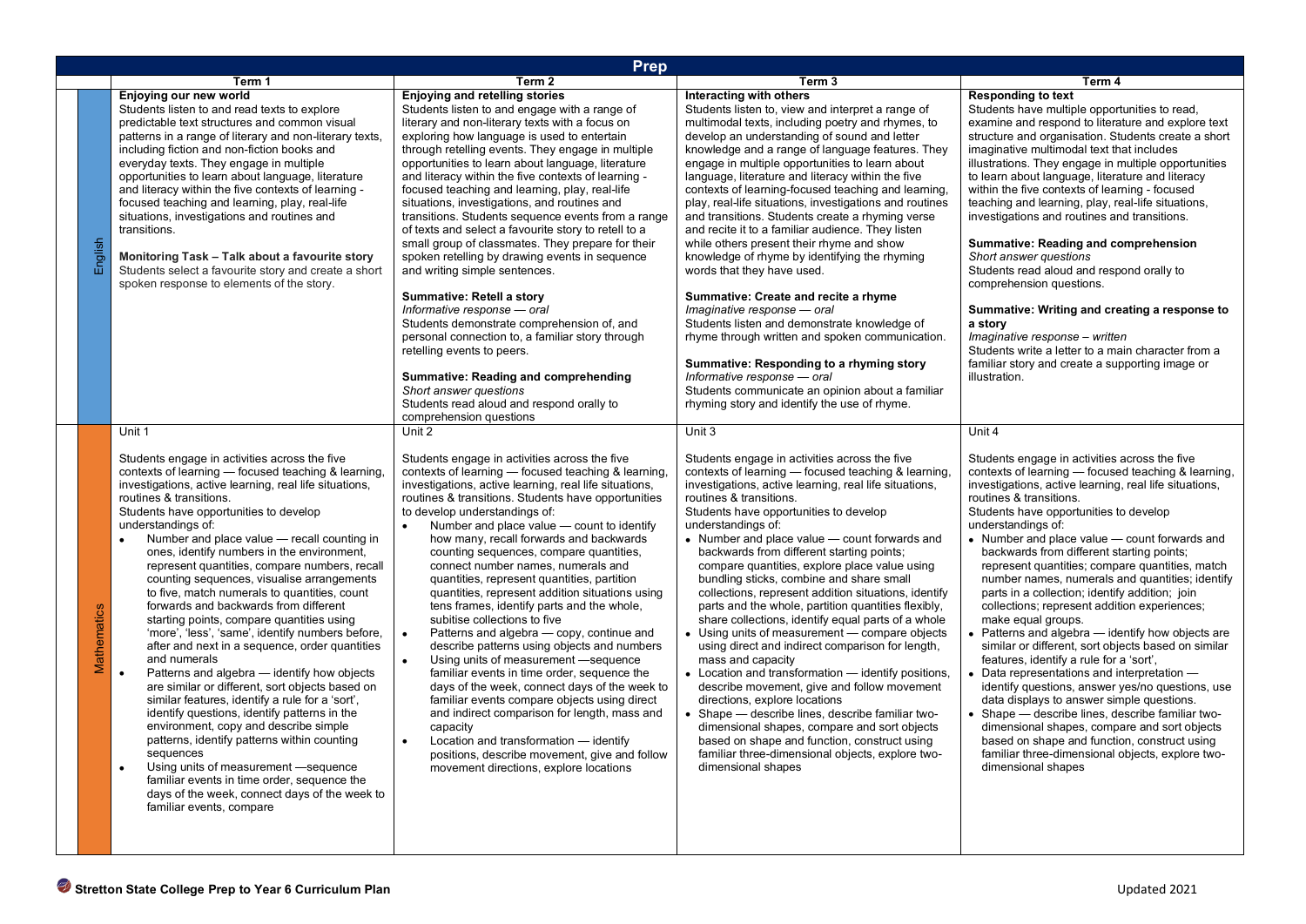|         | <b>Prep</b>                                                                                                                                                                                                                                                                                                                                                                                                                                                                                                                                                                                                                                                                                                                                                                                                                                                                                                                                                                                                                                                                                                                                                                                                                                                     |                                                                                                                                                                                                                                                                                                                                                                                                                                                                                                                                                                                                                                                                                                                                                                                                                                                                                                                                                                                                                                                                                                                                                                     |                                                                                                                                                                                                                                                                                                                                                                                                                                                                                                                                                                                                                                                                                                                                                                                                                                                                                                                                                                                                                                                                                                                                     |                                                                                                                                                                                                                                                                                                                                                                                                                                                                                                                                                                                                                                                                                                                                                                                                                                                                                                                                                                                                                                                                                                                                      |  |  |
|---------|-----------------------------------------------------------------------------------------------------------------------------------------------------------------------------------------------------------------------------------------------------------------------------------------------------------------------------------------------------------------------------------------------------------------------------------------------------------------------------------------------------------------------------------------------------------------------------------------------------------------------------------------------------------------------------------------------------------------------------------------------------------------------------------------------------------------------------------------------------------------------------------------------------------------------------------------------------------------------------------------------------------------------------------------------------------------------------------------------------------------------------------------------------------------------------------------------------------------------------------------------------------------|---------------------------------------------------------------------------------------------------------------------------------------------------------------------------------------------------------------------------------------------------------------------------------------------------------------------------------------------------------------------------------------------------------------------------------------------------------------------------------------------------------------------------------------------------------------------------------------------------------------------------------------------------------------------------------------------------------------------------------------------------------------------------------------------------------------------------------------------------------------------------------------------------------------------------------------------------------------------------------------------------------------------------------------------------------------------------------------------------------------------------------------------------------------------|-------------------------------------------------------------------------------------------------------------------------------------------------------------------------------------------------------------------------------------------------------------------------------------------------------------------------------------------------------------------------------------------------------------------------------------------------------------------------------------------------------------------------------------------------------------------------------------------------------------------------------------------------------------------------------------------------------------------------------------------------------------------------------------------------------------------------------------------------------------------------------------------------------------------------------------------------------------------------------------------------------------------------------------------------------------------------------------------------------------------------------------|--------------------------------------------------------------------------------------------------------------------------------------------------------------------------------------------------------------------------------------------------------------------------------------------------------------------------------------------------------------------------------------------------------------------------------------------------------------------------------------------------------------------------------------------------------------------------------------------------------------------------------------------------------------------------------------------------------------------------------------------------------------------------------------------------------------------------------------------------------------------------------------------------------------------------------------------------------------------------------------------------------------------------------------------------------------------------------------------------------------------------------------|--|--|
|         | Term 1                                                                                                                                                                                                                                                                                                                                                                                                                                                                                                                                                                                                                                                                                                                                                                                                                                                                                                                                                                                                                                                                                                                                                                                                                                                          | Term 2                                                                                                                                                                                                                                                                                                                                                                                                                                                                                                                                                                                                                                                                                                                                                                                                                                                                                                                                                                                                                                                                                                                                                              | Term 3                                                                                                                                                                                                                                                                                                                                                                                                                                                                                                                                                                                                                                                                                                                                                                                                                                                                                                                                                                                                                                                                                                                              | Term 4                                                                                                                                                                                                                                                                                                                                                                                                                                                                                                                                                                                                                                                                                                                                                                                                                                                                                                                                                                                                                                                                                                                               |  |  |
| English | Enjoying our new world<br>Students listen to and read texts to explore<br>predictable text structures and common visual<br>patterns in a range of literary and non-literary texts,<br>including fiction and non-fiction books and<br>everyday texts. They engage in multiple<br>opportunities to learn about language, literature<br>and literacy within the five contexts of learning -<br>focused teaching and learning, play, real-life<br>situations, investigations and routines and<br>transitions.<br>Monitoring Task - Talk about a favourite story<br>Students select a favourite story and create a short<br>spoken response to elements of the story.                                                                                                                                                                                                                                                                                                                                                                                                                                                                                                                                                                                                | <b>Enjoying and retelling stories</b><br>Students listen to and engage with a range of<br>literary and non-literary texts with a focus on<br>exploring how language is used to entertain<br>through retelling events. They engage in multiple<br>opportunities to learn about language, literature<br>and literacy within the five contexts of learning -<br>focused teaching and learning, play, real-life<br>situations, investigations, and routines and<br>transitions. Students sequence events from a range<br>of texts and select a favourite story to retell to a<br>small group of classmates. They prepare for their<br>spoken retelling by drawing events in sequence<br>and writing simple sentences.<br>Summative: Retell a story<br>Informative response - oral<br>Students demonstrate comprehension of, and<br>personal connection to, a familiar story through<br>retelling events to peers.<br>Summative: Reading and comprehending<br>Short answer questions<br>Students read aloud and respond orally to<br>comprehension questions                                                                                                             | Interacting with others<br>Students listen to, view and interpret a range of<br>multimodal texts, including poetry and rhymes, to<br>develop an understanding of sound and letter<br>knowledge and a range of language features. They<br>engage in multiple opportunities to learn about<br>language, literature and literacy within the five<br>contexts of learning-focused teaching and learning,<br>play, real-life situations, investigations and routines<br>and transitions. Students create a rhyming verse<br>and recite it to a familiar audience. They listen<br>while others present their rhyme and show<br>knowledge of rhyme by identifying the rhyming<br>words that they have used.<br>Summative: Create and recite a rhyme<br>Imaginative response - oral<br>Students listen and demonstrate knowledge of<br>rhyme through written and spoken communication.<br>Summative: Responding to a rhyming story<br>Informative response - oral<br>Students communicate an opinion about a familiar<br>rhyming story and identify the use of rhyme.                                                                       | <b>Responding to text</b><br>Students have multiple opportunities to read,<br>examine and respond to literature and explore text<br>structure and organisation. Students create a short<br>imaginative multimodal text that includes<br>illustrations. They engage in multiple opportunities<br>to learn about language, literature and literacy<br>within the five contexts of learning - focused<br>teaching and learning, play, real-life situations,<br>investigations and routines and transitions.<br>Summative: Reading and comprehension<br>Short answer questions<br>Students read aloud and respond orally to<br>comprehension questions.<br>Summative: Writing and creating a response to<br>a storv<br>Imaginative response - written<br>Students write a letter to a main character from a<br>familiar story and create a supporting image or<br>illustration.                                                                                                                                                                                                                                                          |  |  |
|         | Unit 1<br>Students engage in activities across the five<br>contexts of learning — focused teaching & learning,<br>investigations, active learning, real life situations,<br>routines & transitions.<br>Students have opportunities to develop<br>understandings of:<br>Number and place value - recall counting in<br>$\bullet$<br>ones, identify numbers in the environment,<br>represent quantities, compare numbers, recall<br>counting sequences, visualise arrangements<br>to five, match numerals to quantities, count<br>forwards and backwards from different<br>Mathematics<br>starting points, compare quantities using<br>'more', 'less', 'same', identify numbers before,<br>after and next in a sequence, order quantities<br>and numerals<br>Patterns and algebra - identify how objects<br>$\bullet$<br>are similar or different, sort objects based on<br>similar features, identify a rule for a 'sort',<br>identify questions, identify patterns in the<br>environment, copy and describe simple<br>patterns, identify patterns within counting<br>sequences<br>Using units of measurement -sequence<br>$\bullet$<br>familiar events in time order, sequence the<br>days of the week, connect days of the week to<br>familiar events, compare | Unit 2<br>Students engage in activities across the five<br>contexts of learning — focused teaching & learning,<br>investigations, active learning, real life situations,<br>routines & transitions. Students have opportunities<br>to develop understandings of:<br>Number and place value - count to identify<br>$\bullet$<br>how many, recall forwards and backwards<br>counting sequences, compare quantities,<br>connect number names, numerals and<br>quantities, represent quantities, partition<br>quantities, represent addition situations using<br>tens frames, identify parts and the whole,<br>subitise collections to five<br>Patterns and algebra - copy, continue and<br>$\bullet$<br>describe patterns using objects and numbers<br>Using units of measurement -sequence<br>$\bullet$<br>familiar events in time order, sequence the<br>days of the week, connect days of the week to<br>familiar events compare objects using direct<br>and indirect comparison for length, mass and<br>capacity<br>$\bullet$<br>Location and transformation - identify<br>positions, describe movement, give and follow<br>movement directions, explore locations | Unit 3<br>Students engage in activities across the five<br>contexts of learning — focused teaching & learning,<br>investigations, active learning, real life situations,<br>routines & transitions.<br>Students have opportunities to develop<br>understandings of:<br>• Number and place value – count forwards and<br>backwards from different starting points;<br>compare quantities, explore place value using<br>bundling sticks, combine and share small<br>collections, represent addition situations, identify<br>parts and the whole, partition quantities flexibly,<br>share collections, identify equal parts of a whole<br>• Using units of measurement — compare objects<br>using direct and indirect comparison for length,<br>mass and capacity<br>• Location and transformation - identify positions,<br>describe movement, give and follow movement<br>directions, explore locations<br>• Shape - describe lines, describe familiar two-<br>dimensional shapes, compare and sort objects<br>based on shape and function, construct using<br>familiar three-dimensional objects, explore two-<br>dimensional shapes | Unit 4<br>Students engage in activities across the five<br>contexts of learning — focused teaching & learning,<br>investigations, active learning, real life situations,<br>routines & transitions.<br>Students have opportunities to develop<br>understandings of:<br>• Number and place value - count forwards and<br>backwards from different starting points;<br>represent quantities; compare quantities, match<br>number names, numerals and quantities; identify<br>parts in a collection; identify addition; join<br>collections; represent addition experiences;<br>make equal groups.<br>• Patterns and algebra - identify how objects are<br>similar or different, sort objects based on similar<br>features, identify a rule for a 'sort',<br>• Data representations and interpretation -<br>identify questions, answer yes/no questions, use<br>data displays to answer simple questions.<br>• Shape - describe lines, describe familiar two-<br>dimensional shapes, compare and sort objects<br>based on shape and function, construct using<br>familiar three-dimensional objects, explore two-<br>dimensional shapes |  |  |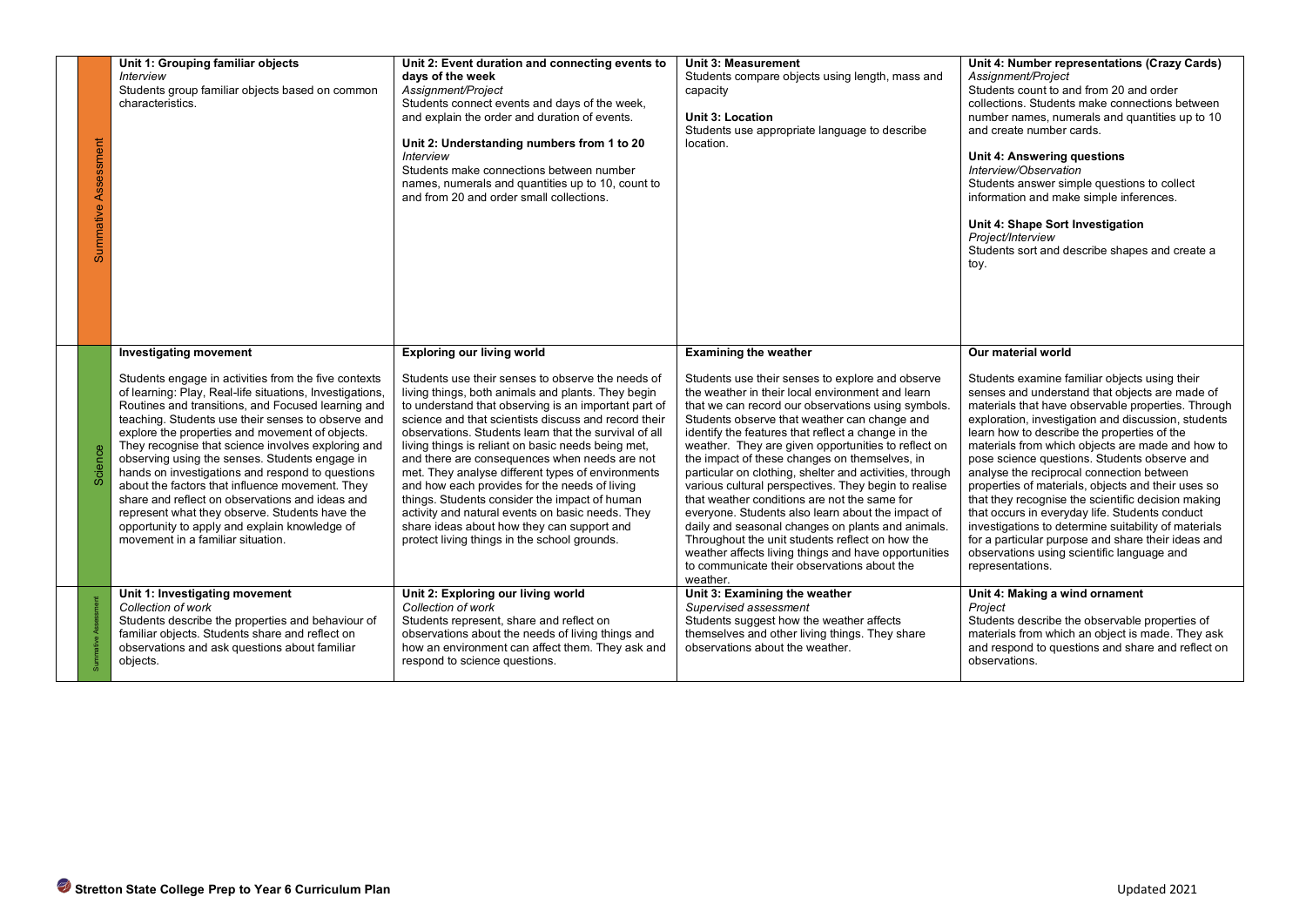| Summative Assessment                                                                                                                                                                                                                                                                                                                                                                                                                                                                                                                                                                                                                                                                                                                  |                                                                                                                                                                                                                                                                                                                                                                                                                                                                                                                                                                                                                                                                                                                                       |                                                                                                                                                                                                                                                                                                                                                                                                                                                                                                                                                                                                                                                                                                                                                                                                                                                 | Unit 4: Shape Sort Investigation<br>Project/Interview<br>Students sort and describe shapes and create a<br>toy.                                                                                                                                                                                                                                                                                                                                                                                                                                                                                                                                                                                                                                                                  |
|---------------------------------------------------------------------------------------------------------------------------------------------------------------------------------------------------------------------------------------------------------------------------------------------------------------------------------------------------------------------------------------------------------------------------------------------------------------------------------------------------------------------------------------------------------------------------------------------------------------------------------------------------------------------------------------------------------------------------------------|---------------------------------------------------------------------------------------------------------------------------------------------------------------------------------------------------------------------------------------------------------------------------------------------------------------------------------------------------------------------------------------------------------------------------------------------------------------------------------------------------------------------------------------------------------------------------------------------------------------------------------------------------------------------------------------------------------------------------------------|-------------------------------------------------------------------------------------------------------------------------------------------------------------------------------------------------------------------------------------------------------------------------------------------------------------------------------------------------------------------------------------------------------------------------------------------------------------------------------------------------------------------------------------------------------------------------------------------------------------------------------------------------------------------------------------------------------------------------------------------------------------------------------------------------------------------------------------------------|----------------------------------------------------------------------------------------------------------------------------------------------------------------------------------------------------------------------------------------------------------------------------------------------------------------------------------------------------------------------------------------------------------------------------------------------------------------------------------------------------------------------------------------------------------------------------------------------------------------------------------------------------------------------------------------------------------------------------------------------------------------------------------|
| <b>Investigating movement</b><br>Students engage in activities from the five contexts<br>of learning: Play, Real-life situations, Investigations,<br>Routines and transitions, and Focused learning and<br>teaching. Students use their senses to observe and<br>explore the properties and movement of objects.<br>They recognise that science involves exploring and<br>Science<br>observing using the senses. Students engage in<br>hands on investigations and respond to questions<br>about the factors that influence movement. They<br>share and reflect on observations and ideas and<br>represent what they observe. Students have the<br>opportunity to apply and explain knowledge of<br>movement in a familiar situation. | <b>Exploring our living world</b><br>Students use their senses to observe the needs of<br>living things, both animals and plants. They begin<br>to understand that observing is an important part of<br>science and that scientists discuss and record their<br>observations. Students learn that the survival of all<br>living things is reliant on basic needs being met,<br>and there are consequences when needs are not<br>met. They analyse different types of environments<br>and how each provides for the needs of living<br>things. Students consider the impact of human<br>activity and natural events on basic needs. They<br>share ideas about how they can support and<br>protect living things in the school grounds. | <b>Examining the weather</b><br>Students use their senses to explore and observe<br>the weather in their local environment and learn<br>that we can record our observations using symbols.<br>Students observe that weather can change and<br>identify the features that reflect a change in the<br>weather. They are given opportunities to reflect on<br>the impact of these changes on themselves, in<br>particular on clothing, shelter and activities, through<br>various cultural perspectives. They begin to realise<br>that weather conditions are not the same for<br>everyone. Students also learn about the impact of<br>daily and seasonal changes on plants and animals.<br>Throughout the unit students reflect on how the<br>weather affects living things and have opportunities<br>to communicate their observations about the | Our material world<br>Students examine familiar objects using their<br>senses and understand that objects are made of<br>materials that have observable properties. Through<br>exploration, investigation and discussion, students<br>learn how to describe the properties of the<br>materials from which objects are made and how to<br>pose science questions. Students observe and<br>analyse the reciprocal connection between<br>properties of materials, objects and their uses so<br>that they recognise the scientific decision making<br>that occurs in everyday life. Students conduct<br>investigations to determine suitability of materials<br>for a particular purpose and share their ideas and<br>observations using scientific language and<br>representations. |
| Unit 1: Investigating movement<br>Collection of work<br>Students describe the properties and behaviour of<br>familiar objects. Students share and reflect on<br>observations and ask questions about familiar<br>objects.                                                                                                                                                                                                                                                                                                                                                                                                                                                                                                             | Unit 2: Exploring our living world<br>Collection of work<br>Students represent, share and reflect on<br>observations about the needs of living things and<br>how an environment can affect them. They ask and<br>respond to science questions.                                                                                                                                                                                                                                                                                                                                                                                                                                                                                        | weather.<br>Unit 3: Examining the weather<br>Supervised assessment<br>Students suggest how the weather affects<br>themselves and other living things. They share<br>observations about the weather.                                                                                                                                                                                                                                                                                                                                                                                                                                                                                                                                                                                                                                             | Unit 4: Making a wind ornament<br>Project<br>Students describe the observable properties of<br>materials from which an object is made. They ask<br>and respond to questions and share and reflect on<br>observations.                                                                                                                                                                                                                                                                                                                                                                                                                                                                                                                                                            |
| Stretton State College Prep to Year 6 Curriculum Plan                                                                                                                                                                                                                                                                                                                                                                                                                                                                                                                                                                                                                                                                                 |                                                                                                                                                                                                                                                                                                                                                                                                                                                                                                                                                                                                                                                                                                                                       |                                                                                                                                                                                                                                                                                                                                                                                                                                                                                                                                                                                                                                                                                                                                                                                                                                                 | Updated 2021                                                                                                                                                                                                                                                                                                                                                                                                                                                                                                                                                                                                                                                                                                                                                                     |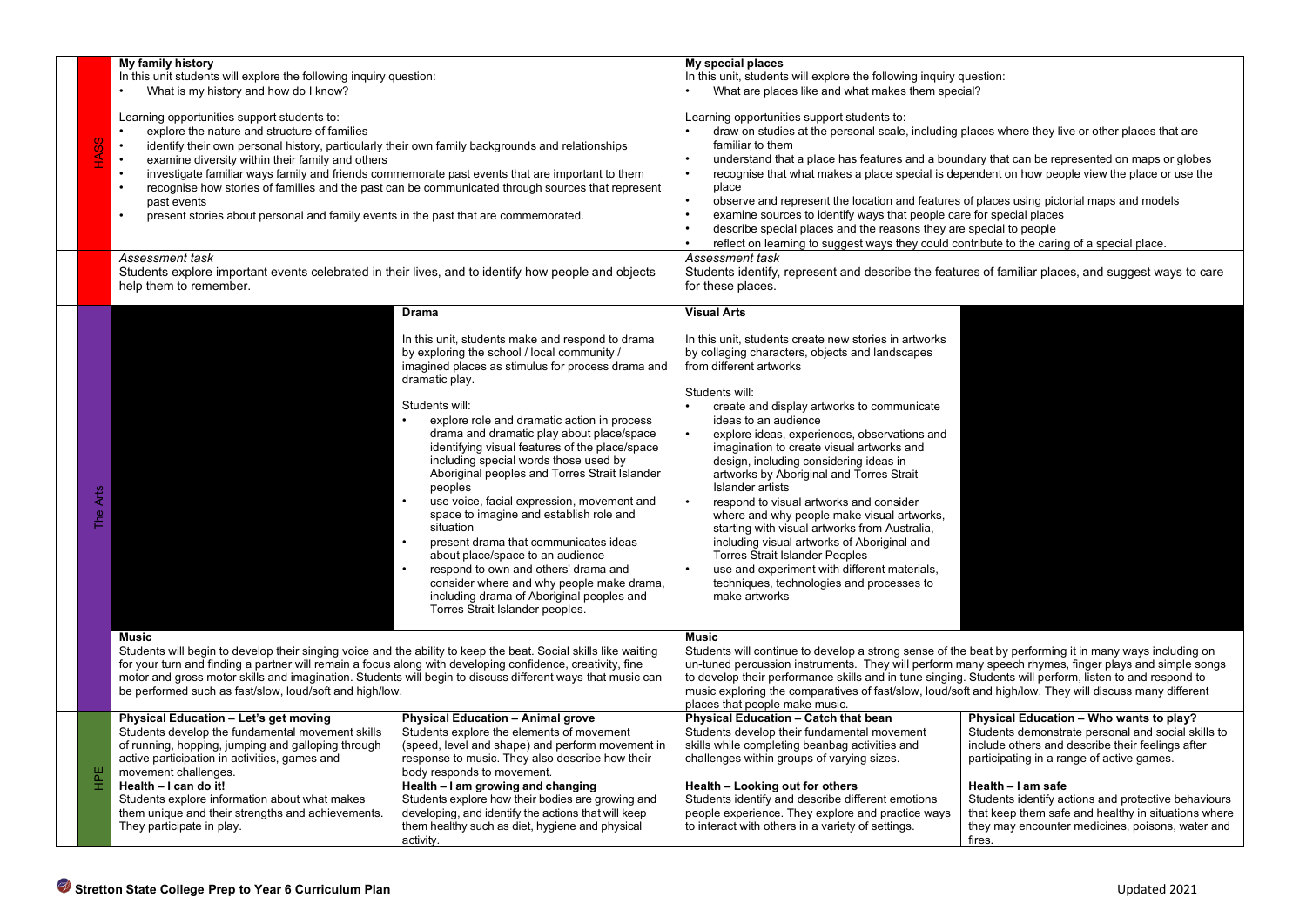|                    | My family history<br>In this unit students will explore the following inquiry question:<br>What is my history and how do I know?<br>Learning opportunities support students to:<br>explore the nature and structure of families<br>identify their own personal history, particularly their own family backgrounds and relationships<br>$\bullet$<br>examine diversity within their family and others<br>investigate familiar ways family and friends commemorate past events that are important to them<br>recognise how stories of families and the past can be communicated through sources that represent<br>past events<br>present stories about personal and family events in the past that are commemorated. |                                                                                                                                                                                                                                                                                                                                                                                                                                                                                                                                                                                                                                                                                                                                                                                                              | My special places<br>In this unit, students will explore the following inquiry question:<br>What are places like and what makes them special?<br>Learning opportunities support students to:<br>draw on studies at the personal scale, including places where they live or other places that are<br>familiar to them<br>understand that a place has features and a boundary that can be represented on maps or globes<br>recognise that what makes a place special is dependent on how people view the place or use the<br>place<br>observe and represent the location and features of places using pictorial maps and models<br>examine sources to identify ways that people care for special places<br>describe special places and the reasons they are special to people<br>reflect on learning to suggest ways they could contribute to the caring of a special place. |                                                                                                                                                                                                |
|--------------------|--------------------------------------------------------------------------------------------------------------------------------------------------------------------------------------------------------------------------------------------------------------------------------------------------------------------------------------------------------------------------------------------------------------------------------------------------------------------------------------------------------------------------------------------------------------------------------------------------------------------------------------------------------------------------------------------------------------------|--------------------------------------------------------------------------------------------------------------------------------------------------------------------------------------------------------------------------------------------------------------------------------------------------------------------------------------------------------------------------------------------------------------------------------------------------------------------------------------------------------------------------------------------------------------------------------------------------------------------------------------------------------------------------------------------------------------------------------------------------------------------------------------------------------------|----------------------------------------------------------------------------------------------------------------------------------------------------------------------------------------------------------------------------------------------------------------------------------------------------------------------------------------------------------------------------------------------------------------------------------------------------------------------------------------------------------------------------------------------------------------------------------------------------------------------------------------------------------------------------------------------------------------------------------------------------------------------------------------------------------------------------------------------------------------------------|------------------------------------------------------------------------------------------------------------------------------------------------------------------------------------------------|
|                    | Assessment task<br>Students explore important events celebrated in their lives, and to identify how people and objects<br>help them to remember.                                                                                                                                                                                                                                                                                                                                                                                                                                                                                                                                                                   |                                                                                                                                                                                                                                                                                                                                                                                                                                                                                                                                                                                                                                                                                                                                                                                                              | Assessment task<br>Students identify, represent and describe the features of familiar places, and suggest ways to care<br>for these places.                                                                                                                                                                                                                                                                                                                                                                                                                                                                                                                                                                                                                                                                                                                                |                                                                                                                                                                                                |
| Arts<br><b>PHT</b> |                                                                                                                                                                                                                                                                                                                                                                                                                                                                                                                                                                                                                                                                                                                    | Drama<br>In this unit, students make and respond to drama<br>by exploring the school / local community /<br>imagined places as stimulus for process drama and<br>dramatic play.<br>Students will:<br>explore role and dramatic action in process<br>drama and dramatic play about place/space<br>identifying visual features of the place/space<br>including special words those used by<br>Aboriginal peoples and Torres Strait Islander<br>peoples<br>use voice, facial expression, movement and<br>space to imagine and establish role and<br>situation<br>present drama that communicates ideas<br>about place/space to an audience<br>respond to own and others' drama and<br>consider where and why people make drama,<br>including drama of Aboriginal peoples and<br>Torres Strait Islander peoples. | <b>Visual Arts</b><br>In this unit, students create new stories in artworks<br>by collaging characters, objects and landscapes<br>from different artworks<br>Students will:<br>create and display artworks to communicate<br>ideas to an audience<br>explore ideas, experiences, observations and<br>imagination to create visual artworks and<br>design, including considering ideas in<br>artworks by Aboriginal and Torres Strait<br>Islander artists<br>respond to visual artworks and consider<br>where and why people make visual artworks,<br>starting with visual artworks from Australia,<br>including visual artworks of Aboriginal and<br><b>Torres Strait Islander Peoples</b><br>use and experiment with different materials,<br>techniques, technologies and processes to<br>make artworks                                                                   |                                                                                                                                                                                                |
|                    | Music<br>Students will begin to develop their singing voice and the ability to keep the beat. Social skills like waiting<br>for your turn and finding a partner will remain a focus along with developing confidence, creativity, fine<br>motor and gross motor skills and imagination. Students will begin to discuss different ways that music can<br>be performed such as fast/slow, loud/soft and high/low.                                                                                                                                                                                                                                                                                                    |                                                                                                                                                                                                                                                                                                                                                                                                                                                                                                                                                                                                                                                                                                                                                                                                              | <b>Music</b><br>Students will continue to develop a strong sense of the beat by performing it in many ways including on<br>un-tuned percussion instruments. They will perform many speech rhymes, finger plays and simple songs<br>to develop their performance skills and in tune singing. Students will perform, listen to and respond to<br>music exploring the comparatives of fast/slow, loud/soft and high/low. They will discuss many different<br>places that people make music.                                                                                                                                                                                                                                                                                                                                                                                   |                                                                                                                                                                                                |
|                    | Physical Education - Let's get moving<br>Students develop the fundamental movement skills<br>of running, hopping, jumping and galloping through<br>active participation in activities, games and<br>movement challenges.                                                                                                                                                                                                                                                                                                                                                                                                                                                                                           | <b>Physical Education - Animal grove</b><br>Students explore the elements of movement<br>(speed, level and shape) and perform movement in<br>response to music. They also describe how their<br>body responds to movement.                                                                                                                                                                                                                                                                                                                                                                                                                                                                                                                                                                                   | <b>Physical Education - Catch that bean</b><br>Students develop their fundamental movement<br>skills while completing beanbag activities and<br>challenges within groups of varying sizes.                                                                                                                                                                                                                                                                                                                                                                                                                                                                                                                                                                                                                                                                                 | Physical Education - Who wants to play?<br>Students demonstrate personal and social skills to<br>include others and describe their feelings after<br>participating in a range of active games. |
| $E_{\rm H}$        | Health - I can do it!<br>Students explore information about what makes<br>them unique and their strengths and achievements.<br>They participate in play.                                                                                                                                                                                                                                                                                                                                                                                                                                                                                                                                                           | Health – I am growing and changing<br>Students explore how their bodies are growing and<br>developing, and identify the actions that will keep<br>them healthy such as diet, hygiene and physical<br>activity.                                                                                                                                                                                                                                                                                                                                                                                                                                                                                                                                                                                               | Health - Looking out for others<br>Students identify and describe different emotions<br>people experience. They explore and practice ways<br>to interact with others in a variety of settings.                                                                                                                                                                                                                                                                                                                                                                                                                                                                                                                                                                                                                                                                             | Health - I am safe<br>Students identify actions and protective behaviours<br>that keep them safe and healthy in situations where<br>they may encounter medicines, poisons, water and<br>fires. |
|                    | Stretton State College Prep to Year 6 Curriculum Plan                                                                                                                                                                                                                                                                                                                                                                                                                                                                                                                                                                                                                                                              |                                                                                                                                                                                                                                                                                                                                                                                                                                                                                                                                                                                                                                                                                                                                                                                                              |                                                                                                                                                                                                                                                                                                                                                                                                                                                                                                                                                                                                                                                                                                                                                                                                                                                                            | Updated 2021                                                                                                                                                                                   |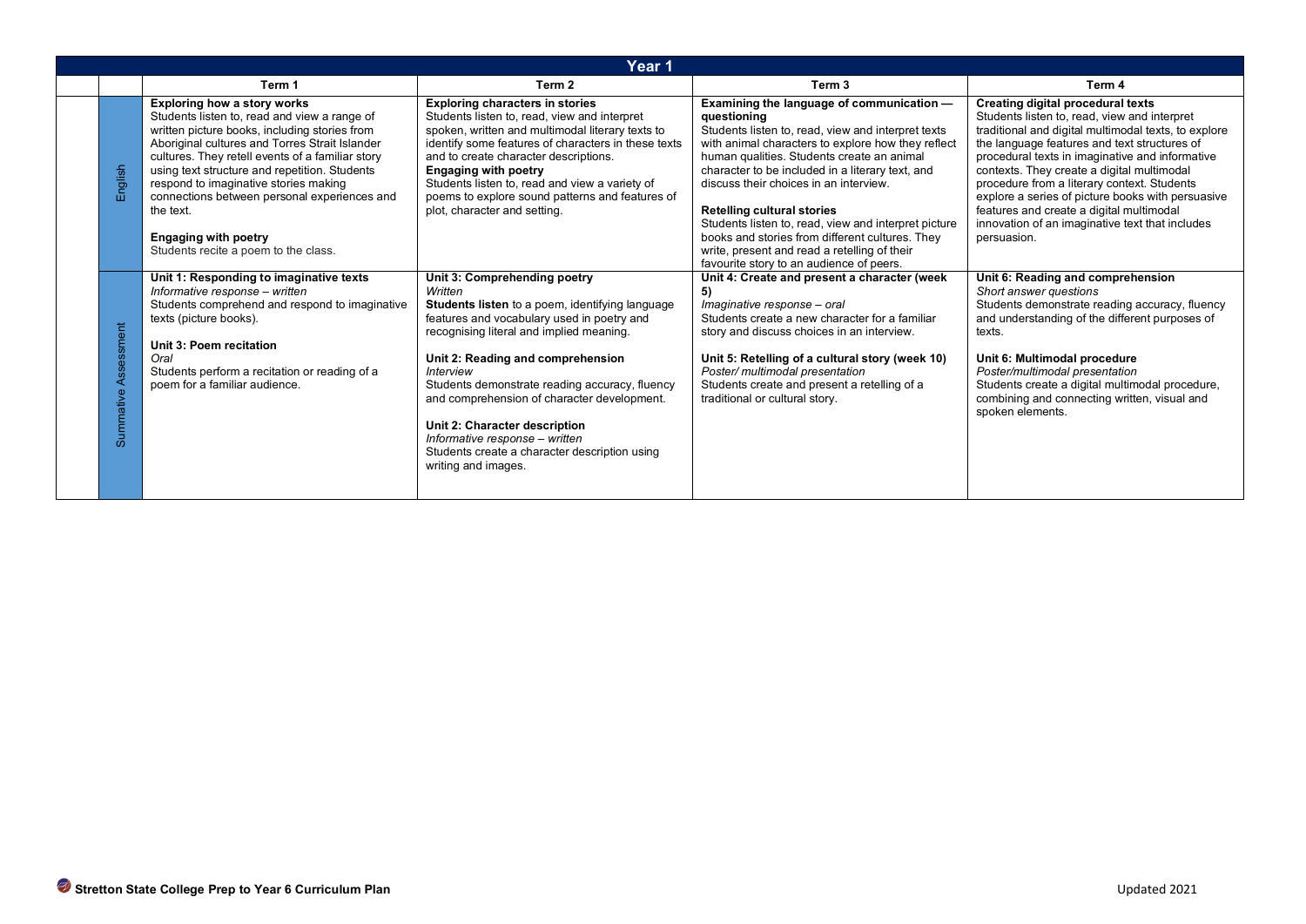| Year 1               |                                                                                                                                                                                                                                                                                                                                                                                                                                                                         |                                                                                                                                                                                                                                                                                                                                                                                                                                                                                           |                                                                                                                                                                                                                                                                                                                                                                                                                                                                                                                  |                                                                                                                                                                                                                                                                                                                                                                                                                                                                                                              |
|----------------------|-------------------------------------------------------------------------------------------------------------------------------------------------------------------------------------------------------------------------------------------------------------------------------------------------------------------------------------------------------------------------------------------------------------------------------------------------------------------------|-------------------------------------------------------------------------------------------------------------------------------------------------------------------------------------------------------------------------------------------------------------------------------------------------------------------------------------------------------------------------------------------------------------------------------------------------------------------------------------------|------------------------------------------------------------------------------------------------------------------------------------------------------------------------------------------------------------------------------------------------------------------------------------------------------------------------------------------------------------------------------------------------------------------------------------------------------------------------------------------------------------------|--------------------------------------------------------------------------------------------------------------------------------------------------------------------------------------------------------------------------------------------------------------------------------------------------------------------------------------------------------------------------------------------------------------------------------------------------------------------------------------------------------------|
|                      | Term 1                                                                                                                                                                                                                                                                                                                                                                                                                                                                  | Term 2                                                                                                                                                                                                                                                                                                                                                                                                                                                                                    | Term <sub>3</sub>                                                                                                                                                                                                                                                                                                                                                                                                                                                                                                | Term 4                                                                                                                                                                                                                                                                                                                                                                                                                                                                                                       |
| English              | <b>Exploring how a story works</b><br>Students listen to, read and view a range of<br>written picture books, including stories from<br>Aboriginal cultures and Torres Strait Islander<br>cultures. They retell events of a familiar story<br>using text structure and repetition. Students<br>respond to imaginative stories making<br>connections between personal experiences and<br>the text.<br><b>Engaging with poetry</b><br>Students recite a poem to the class. | <b>Exploring characters in stories</b><br>Students listen to, read, view and interpret<br>spoken, written and multimodal literary texts to<br>identify some features of characters in these texts<br>and to create character descriptions.<br><b>Engaging with poetry</b><br>Students listen to, read and view a variety of<br>poems to explore sound patterns and features of<br>plot, character and setting.                                                                            | Examining the language of communication -<br>questioning<br>Students listen to, read, view and interpret texts<br>with animal characters to explore how they reflect<br>human qualities. Students create an animal<br>character to be included in a literary text, and<br>discuss their choices in an interview.<br><b>Retelling cultural stories</b><br>Students listen to, read, view and interpret picture<br>books and stories from different cultures. They<br>write, present and read a retelling of their | Creating digital procedural texts<br>Students listen to, read, view and interpret<br>traditional and digital multimodal texts, to explore<br>the language features and text structures of<br>procedural texts in imaginative and informative<br>contexts. They create a digital multimodal<br>procedure from a literary context. Students<br>explore a series of picture books with persuasive<br>features and create a digital multimodal<br>innovation of an imaginative text that includes<br>persuasion. |
| Summative Assessment | Unit 1: Responding to imaginative texts<br>Informative response - written<br>Students comprehend and respond to imaginative<br>texts (picture books).<br>Unit 3: Poem recitation<br>Oral<br>Students perform a recitation or reading of a<br>poem for a familiar audience.                                                                                                                                                                                              | Unit 3: Comprehending poetry<br>Written<br>Students listen to a poem, identifying language<br>features and vocabulary used in poetry and<br>recognising literal and implied meaning.<br>Unit 2: Reading and comprehension<br><b>Interview</b><br>Students demonstrate reading accuracy, fluency<br>and comprehension of character development.<br>Unit 2: Character description<br>Informative response - written<br>Students create a character description using<br>writing and images. | favourite story to an audience of peers.<br>Unit 4: Create and present a character (week<br>5)<br>Imaginative response - oral<br>Students create a new character for a familiar<br>story and discuss choices in an interview.<br>Unit 5: Retelling of a cultural story (week 10)<br>Poster/ multimodal presentation<br>Students create and present a retelling of a<br>traditional or cultural story.                                                                                                            | Unit 6: Reading and comprehension<br>Short answer questions<br>Students demonstrate reading accuracy, fluency<br>and understanding of the different purposes of<br>texts.<br>Unit 6: Multimodal procedure<br>Poster/multimodal presentation<br>Students create a digital multimodal procedure,<br>combining and connecting written, visual and<br>spoken elements.                                                                                                                                           |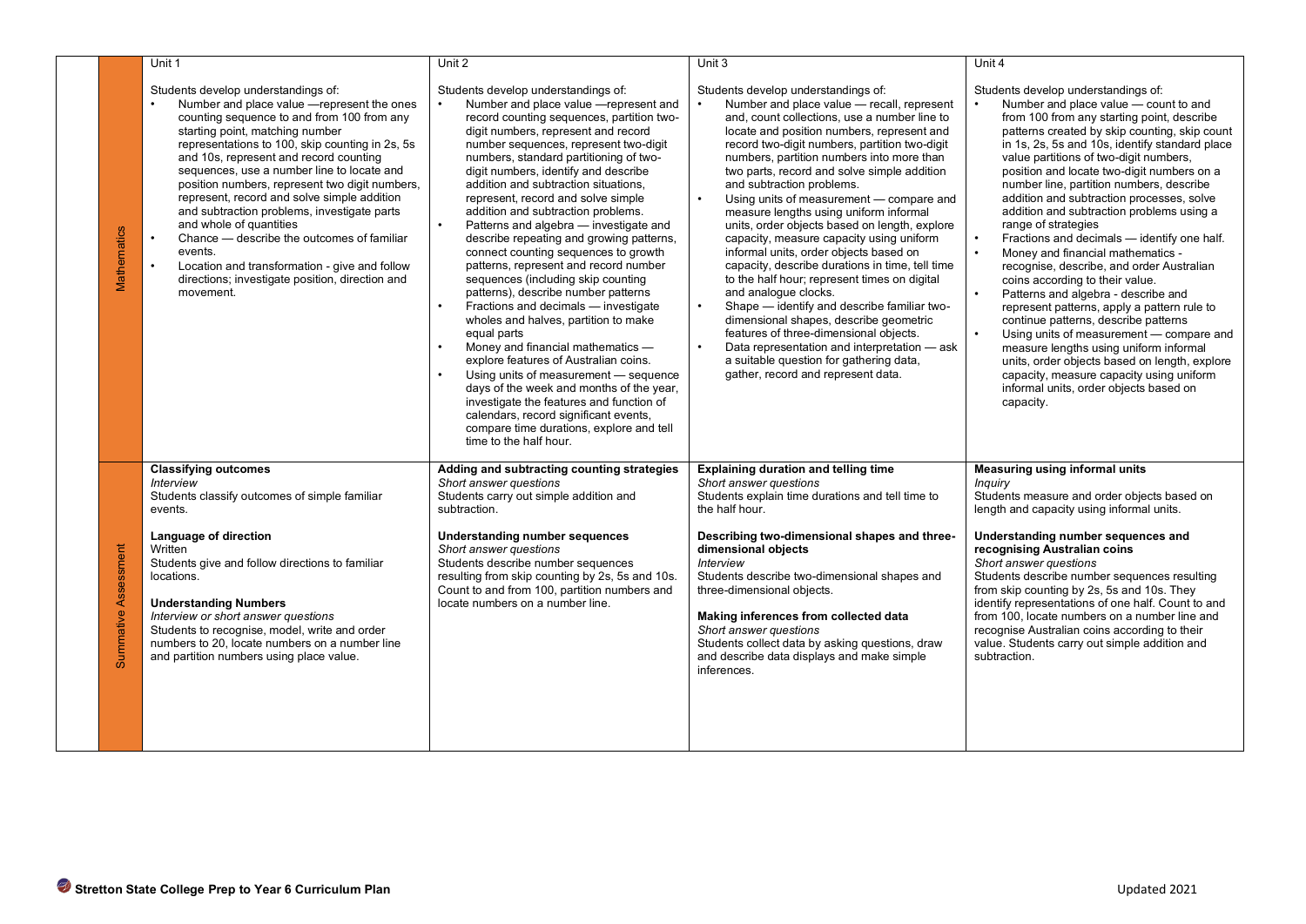|                                                                       | Unit 1                                                                                                                                                                                                                                                                                                                                                                                                                                                                                                                                                                                                                                                              | Unit 2                                                                                                                                                                                                                                                                                                                                                                                                                                                                                                                                                                                                                                                                                                                                                                                                                                                                                                                                                                                                                                                                                                                                   | Unit 3                                                                                                                                                                                                                                                                                                                                                                                                                                                                                                                                                                                                                                                                                                                                                                                                                                                                                                                                                                                | Unit 4                                                                                                                                                                                                                                                                                                                                                                                                                                                                                                                                                                                                                                                                                                                                                                                                                                                                                                                                                                                                                         |
|-----------------------------------------------------------------------|---------------------------------------------------------------------------------------------------------------------------------------------------------------------------------------------------------------------------------------------------------------------------------------------------------------------------------------------------------------------------------------------------------------------------------------------------------------------------------------------------------------------------------------------------------------------------------------------------------------------------------------------------------------------|------------------------------------------------------------------------------------------------------------------------------------------------------------------------------------------------------------------------------------------------------------------------------------------------------------------------------------------------------------------------------------------------------------------------------------------------------------------------------------------------------------------------------------------------------------------------------------------------------------------------------------------------------------------------------------------------------------------------------------------------------------------------------------------------------------------------------------------------------------------------------------------------------------------------------------------------------------------------------------------------------------------------------------------------------------------------------------------------------------------------------------------|---------------------------------------------------------------------------------------------------------------------------------------------------------------------------------------------------------------------------------------------------------------------------------------------------------------------------------------------------------------------------------------------------------------------------------------------------------------------------------------------------------------------------------------------------------------------------------------------------------------------------------------------------------------------------------------------------------------------------------------------------------------------------------------------------------------------------------------------------------------------------------------------------------------------------------------------------------------------------------------|--------------------------------------------------------------------------------------------------------------------------------------------------------------------------------------------------------------------------------------------------------------------------------------------------------------------------------------------------------------------------------------------------------------------------------------------------------------------------------------------------------------------------------------------------------------------------------------------------------------------------------------------------------------------------------------------------------------------------------------------------------------------------------------------------------------------------------------------------------------------------------------------------------------------------------------------------------------------------------------------------------------------------------|
| Mathematics                                                           | Students develop understandings of:<br>Number and place value - represent the ones<br>counting sequence to and from 100 from any<br>starting point, matching number<br>representations to 100, skip counting in 2s, 5s<br>and 10s, represent and record counting<br>sequences, use a number line to locate and<br>position numbers, represent two digit numbers,<br>represent, record and solve simple addition<br>and subtraction problems, investigate parts<br>and whole of quantities<br>Chance — describe the outcomes of familiar<br>events.<br>Location and transformation - give and follow<br>directions; investigate position, direction and<br>movement. | Students develop understandings of:<br>Number and place value - represent and<br>record counting sequences, partition two-<br>digit numbers, represent and record<br>number sequences, represent two-digit<br>numbers, standard partitioning of two-<br>digit numbers, identify and describe<br>addition and subtraction situations,<br>represent, record and solve simple<br>addition and subtraction problems.<br>$\bullet$<br>Patterns and algebra - investigate and<br>describe repeating and growing patterns,<br>connect counting sequences to growth<br>patterns, represent and record number<br>sequences (including skip counting<br>patterns), describe number patterns<br>Fractions and decimals - investigate<br>$\bullet$<br>wholes and halves, partition to make<br>equal parts<br>Money and financial mathematics -<br>explore features of Australian coins.<br>Using units of measurement — sequence<br>$\bullet$<br>days of the week and months of the year,<br>investigate the features and function of<br>calendars, record significant events,<br>compare time durations, explore and tell<br>time to the half hour. | Students develop understandings of:<br>Number and place value - recall, represent<br>and, count collections, use a number line to<br>locate and position numbers, represent and<br>record two-digit numbers, partition two-digit<br>numbers, partition numbers into more than<br>two parts, record and solve simple addition<br>and subtraction problems.<br>Using units of measurement - compare and<br>measure lengths using uniform informal<br>units, order objects based on length, explore<br>capacity, measure capacity using uniform<br>informal units, order objects based on<br>capacity, describe durations in time, tell time<br>to the half hour; represent times on digital<br>and analogue clocks.<br>Shape - identify and describe familiar two-<br>dimensional shapes, describe geometric<br>features of three-dimensional objects.<br>Data representation and interpretation - ask<br>a suitable question for gathering data,<br>gather, record and represent data. | Students develop understandings of:<br>Number and place value - count to and<br>from 100 from any starting point, describe<br>patterns created by skip counting, skip count<br>in 1s, 2s, 5s and 10s, identify standard place<br>value partitions of two-digit numbers,<br>position and locate two-digit numbers on a<br>number line, partition numbers, describe<br>addition and subtraction processes, solve<br>addition and subtraction problems using a<br>range of strategies<br>Fractions and decimals - identify one half.<br>Money and financial mathematics -<br>recognise, describe, and order Australian<br>coins according to their value.<br>Patterns and algebra - describe and<br>represent patterns, apply a pattern rule to<br>continue patterns, describe patterns<br>Using units of measurement - compare and<br>measure lengths using uniform informal<br>units, order objects based on length, explore<br>capacity, measure capacity using uniform<br>informal units, order objects based on<br>capacity. |
| Assessment<br>Summative                                               | <b>Classifying outcomes</b><br><b>Interview</b><br>Students classify outcomes of simple familiar<br>events.<br>Language of direction<br>Written<br>Students give and follow directions to familiar<br>locations.<br><b>Understanding Numbers</b><br>Interview or short answer questions<br>Students to recognise, model, write and order<br>numbers to 20, locate numbers on a number line<br>and partition numbers using place value.                                                                                                                                                                                                                              | Adding and subtracting counting strategies<br>Short answer questions<br>Students carry out simple addition and<br>subtraction.<br><b>Understanding number sequences</b><br>Short answer questions<br>Students describe number sequences<br>resulting from skip counting by 2s, 5s and 10s.<br>Count to and from 100, partition numbers and<br>locate numbers on a number line.                                                                                                                                                                                                                                                                                                                                                                                                                                                                                                                                                                                                                                                                                                                                                           | <b>Explaining duration and telling time</b><br>Short answer questions<br>Students explain time durations and tell time to<br>the half hour.<br>Describing two-dimensional shapes and three-<br>dimensional objects<br><i><b>Interview</b></i><br>Students describe two-dimensional shapes and<br>three-dimensional objects.<br>Making inferences from collected data<br>Short answer questions<br>Students collect data by asking questions, draw<br>and describe data displays and make simple<br>inferences.                                                                                                                                                                                                                                                                                                                                                                                                                                                                        | Measuring using informal units<br>Inquiry<br>Students measure and order objects based on<br>length and capacity using informal units.<br>Understanding number sequences and<br>recognising Australian coins<br>Short answer questions<br>Students describe number sequences resulting<br>from skip counting by 2s, 5s and 10s. They<br>identify representations of one half. Count to and<br>from 100, locate numbers on a number line and<br>recognise Australian coins according to their<br>value. Students carry out simple addition and<br>subtraction.                                                                                                                                                                                                                                                                                                                                                                                                                                                                   |
| Stretton State College Prep to Year 6 Curriculum Plan<br>Updated 2021 |                                                                                                                                                                                                                                                                                                                                                                                                                                                                                                                                                                                                                                                                     |                                                                                                                                                                                                                                                                                                                                                                                                                                                                                                                                                                                                                                                                                                                                                                                                                                                                                                                                                                                                                                                                                                                                          |                                                                                                                                                                                                                                                                                                                                                                                                                                                                                                                                                                                                                                                                                                                                                                                                                                                                                                                                                                                       |                                                                                                                                                                                                                                                                                                                                                                                                                                                                                                                                                                                                                                                                                                                                                                                                                                                                                                                                                                                                                                |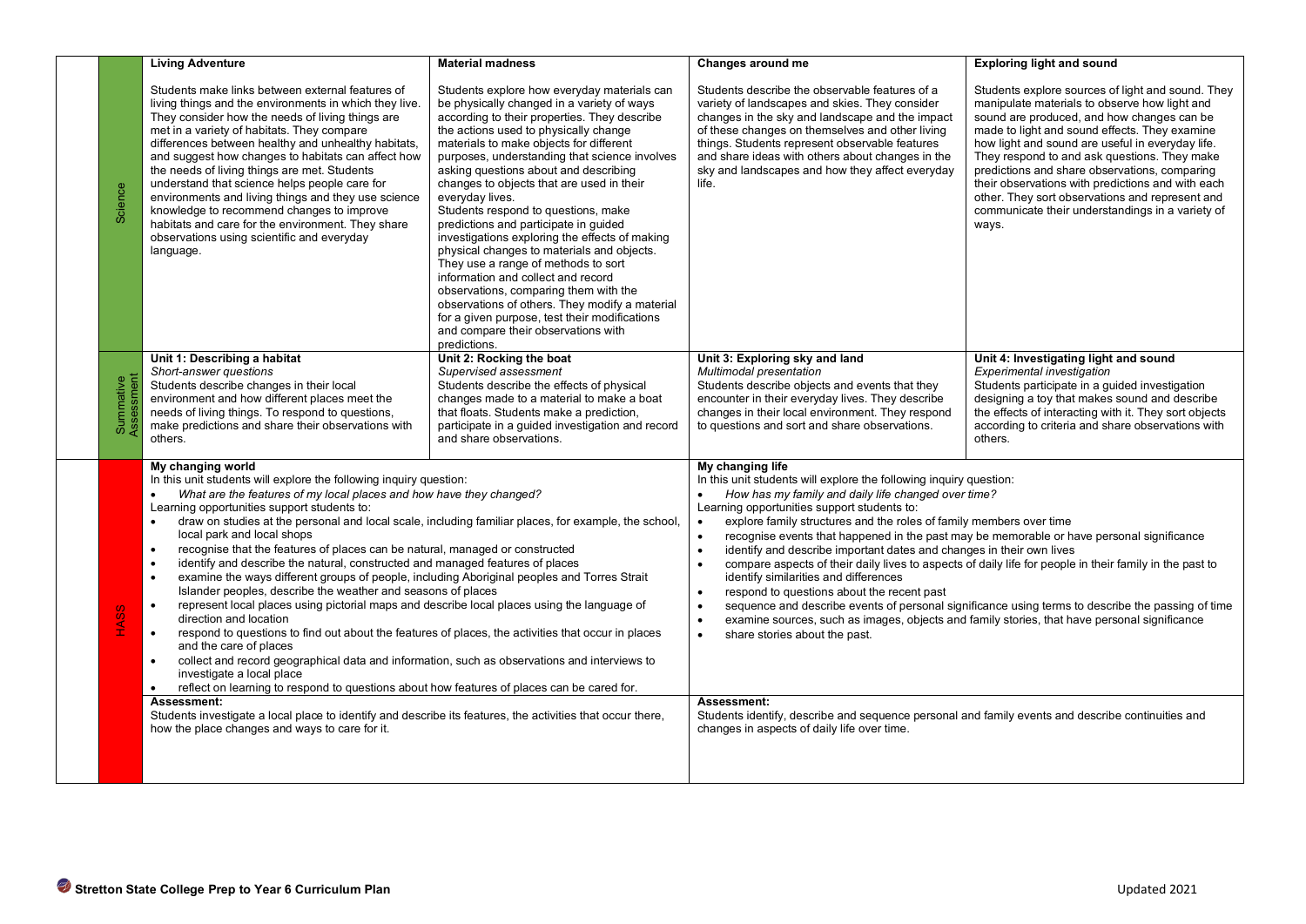|                                                                                                                                                                                                                                                                                                                                                                                                                                                                                                                                                                                                                                                                                                                                                                                                                                                                                                                                                                                                                                                                                                                                                                                                                                                                                                                                                                                                                                    | <b>Living Adventure</b>                                                                                                                                                                                                                                                                                                                                                                                                                                                                                                                                                                                                                         | <b>Material madness</b>                                                                                                                                                                                                                                                                                                                                                                                                                                                                                                                                                                                                                                                                                                                                                                                                                                                                                                                                  | Changes around me                                                                                                                                                                                                                                                                                                                                                        | <b>Exploring light and sound</b>                                                                                                                                                                                                                                                                                                                                                                                                                                                                                            |
|------------------------------------------------------------------------------------------------------------------------------------------------------------------------------------------------------------------------------------------------------------------------------------------------------------------------------------------------------------------------------------------------------------------------------------------------------------------------------------------------------------------------------------------------------------------------------------------------------------------------------------------------------------------------------------------------------------------------------------------------------------------------------------------------------------------------------------------------------------------------------------------------------------------------------------------------------------------------------------------------------------------------------------------------------------------------------------------------------------------------------------------------------------------------------------------------------------------------------------------------------------------------------------------------------------------------------------------------------------------------------------------------------------------------------------|-------------------------------------------------------------------------------------------------------------------------------------------------------------------------------------------------------------------------------------------------------------------------------------------------------------------------------------------------------------------------------------------------------------------------------------------------------------------------------------------------------------------------------------------------------------------------------------------------------------------------------------------------|----------------------------------------------------------------------------------------------------------------------------------------------------------------------------------------------------------------------------------------------------------------------------------------------------------------------------------------------------------------------------------------------------------------------------------------------------------------------------------------------------------------------------------------------------------------------------------------------------------------------------------------------------------------------------------------------------------------------------------------------------------------------------------------------------------------------------------------------------------------------------------------------------------------------------------------------------------|--------------------------------------------------------------------------------------------------------------------------------------------------------------------------------------------------------------------------------------------------------------------------------------------------------------------------------------------------------------------------|-----------------------------------------------------------------------------------------------------------------------------------------------------------------------------------------------------------------------------------------------------------------------------------------------------------------------------------------------------------------------------------------------------------------------------------------------------------------------------------------------------------------------------|
| Science                                                                                                                                                                                                                                                                                                                                                                                                                                                                                                                                                                                                                                                                                                                                                                                                                                                                                                                                                                                                                                                                                                                                                                                                                                                                                                                                                                                                                            | Students make links between external features of<br>living things and the environments in which they live.<br>They consider how the needs of living things are.<br>met in a variety of habitats. They compare<br>differences between healthy and unhealthy habitats,<br>and suggest how changes to habitats can affect how<br>the needs of living things are met. Students<br>understand that science helps people care for<br>environments and living things and they use science<br>knowledge to recommend changes to improve<br>habitats and care for the environment. They share<br>observations using scientific and everyday<br>language. | Students explore how everyday materials can<br>be physically changed in a variety of ways<br>according to their properties. They describe<br>the actions used to physically change<br>materials to make objects for different<br>purposes, understanding that science involves<br>asking questions about and describing<br>changes to objects that are used in their<br>everyday lives.<br>Students respond to questions, make<br>predictions and participate in guided<br>investigations exploring the effects of making<br>physical changes to materials and objects.<br>They use a range of methods to sort<br>information and collect and record<br>observations, comparing them with the<br>observations of others. They modify a material<br>for a given purpose, test their modifications<br>and compare their observations with<br>predictions.                                                                                                  | Students describe the observable features of a<br>variety of landscapes and skies. They consider<br>changes in the sky and landscape and the impact<br>of these changes on themselves and other living<br>things. Students represent observable features<br>and share ideas with others about changes in the<br>sky and landscapes and how they affect everyday<br>life. | Students explore sources of light and sound. They<br>manipulate materials to observe how light and<br>sound are produced, and how changes can be<br>made to light and sound effects. They examine<br>how light and sound are useful in everyday life.<br>They respond to and ask questions. They make<br>predictions and share observations, comparing<br>their observations with predictions and with each<br>other. They sort observations and represent and<br>communicate their understandings in a variety of<br>ways. |
| Summative<br>Assessment                                                                                                                                                                                                                                                                                                                                                                                                                                                                                                                                                                                                                                                                                                                                                                                                                                                                                                                                                                                                                                                                                                                                                                                                                                                                                                                                                                                                            | Unit 1: Describing a habitat<br>Short-answer questions<br>Students describe changes in their local<br>environment and how different places meet the<br>needs of living things. To respond to questions,<br>make predictions and share their observations with<br>others.                                                                                                                                                                                                                                                                                                                                                                        | Unit 2: Rocking the boat<br>Supervised assessment<br>Students describe the effects of physical<br>changes made to a material to make a boat<br>that floats. Students make a prediction,<br>participate in a guided investigation and record<br>and share observations.                                                                                                                                                                                                                                                                                                                                                                                                                                                                                                                                                                                                                                                                                   | Unit 3: Exploring sky and land<br>Multimodal presentation<br>Students describe objects and events that they<br>encounter in their everyday lives. They describe<br>changes in their local environment. They respond<br>to questions and sort and share observations.                                                                                                     | Unit 4: Investigating light and sound<br><b>Experimental investigation</b><br>Students participate in a guided investigation<br>designing a toy that makes sound and describe<br>the effects of interacting with it. They sort objects<br>according to criteria and share observations with<br>others.                                                                                                                                                                                                                      |
| My changing world<br>In this unit students will explore the following inquiry question:<br>What are the features of my local places and how have they changed?<br>Learning opportunities support students to:<br>draw on studies at the personal and local scale, including familiar places, for example, the school,<br>local park and local shops<br>recognise that the features of places can be natural, managed or constructed<br>identify and describe the natural, constructed and managed features of places<br>examine the ways different groups of people, including Aboriginal peoples and Torres Strait<br>$\bullet$<br>Islander peoples, describe the weather and seasons of places<br>represent local places using pictorial maps and describe local places using the language of<br>$\bullet$<br><b>S</b><br>HAS<br>H<br>direction and location<br>respond to questions to find out about the features of places, the activities that occur in places<br>$\bullet$<br>and the care of places<br>collect and record geographical data and information, such as observations and interviews to<br>investigate a local place<br>reflect on learning to respond to questions about how features of places can be cared for.<br>$\bullet$<br>Assessment:<br>Students investigate a local place to identify and describe its features, the activities that occur there,<br>how the place changes and ways to care for it. |                                                                                                                                                                                                                                                                                                                                                                                                                                                                                                                                                                                                                                                 | My changing life<br>In this unit students will explore the following inquiry question:<br>How has my family and daily life changed over time?<br>$\bullet$<br>Learning opportunities support students to:<br>explore family structures and the roles of family members over time<br>$\bullet$<br>recognise events that happened in the past may be memorable or have personal significance<br>$\bullet$<br>$\bullet$<br>identify and describe important dates and changes in their own lives<br>$\bullet$<br>identify similarities and differences<br>respond to questions about the recent past<br>$\bullet$<br>$\bullet$<br>examine sources, such as images, objects and family stories, that have personal significance<br>$\bullet$<br>$\bullet$<br>share stories about the past.<br>Assessment:<br>Students identify, describe and sequence personal and family events and describe continuities and<br>changes in aspects of daily life over time. | compare aspects of their daily lives to aspects of daily life for people in their family in the past to<br>sequence and describe events of personal significance using terms to describe the passing of time                                                                                                                                                             |                                                                                                                                                                                                                                                                                                                                                                                                                                                                                                                             |
| Stretton State College Prep to Year 6 Curriculum Plan<br>Updated 2021                                                                                                                                                                                                                                                                                                                                                                                                                                                                                                                                                                                                                                                                                                                                                                                                                                                                                                                                                                                                                                                                                                                                                                                                                                                                                                                                                              |                                                                                                                                                                                                                                                                                                                                                                                                                                                                                                                                                                                                                                                 |                                                                                                                                                                                                                                                                                                                                                                                                                                                                                                                                                                                                                                                                                                                                                                                                                                                                                                                                                          |                                                                                                                                                                                                                                                                                                                                                                          |                                                                                                                                                                                                                                                                                                                                                                                                                                                                                                                             |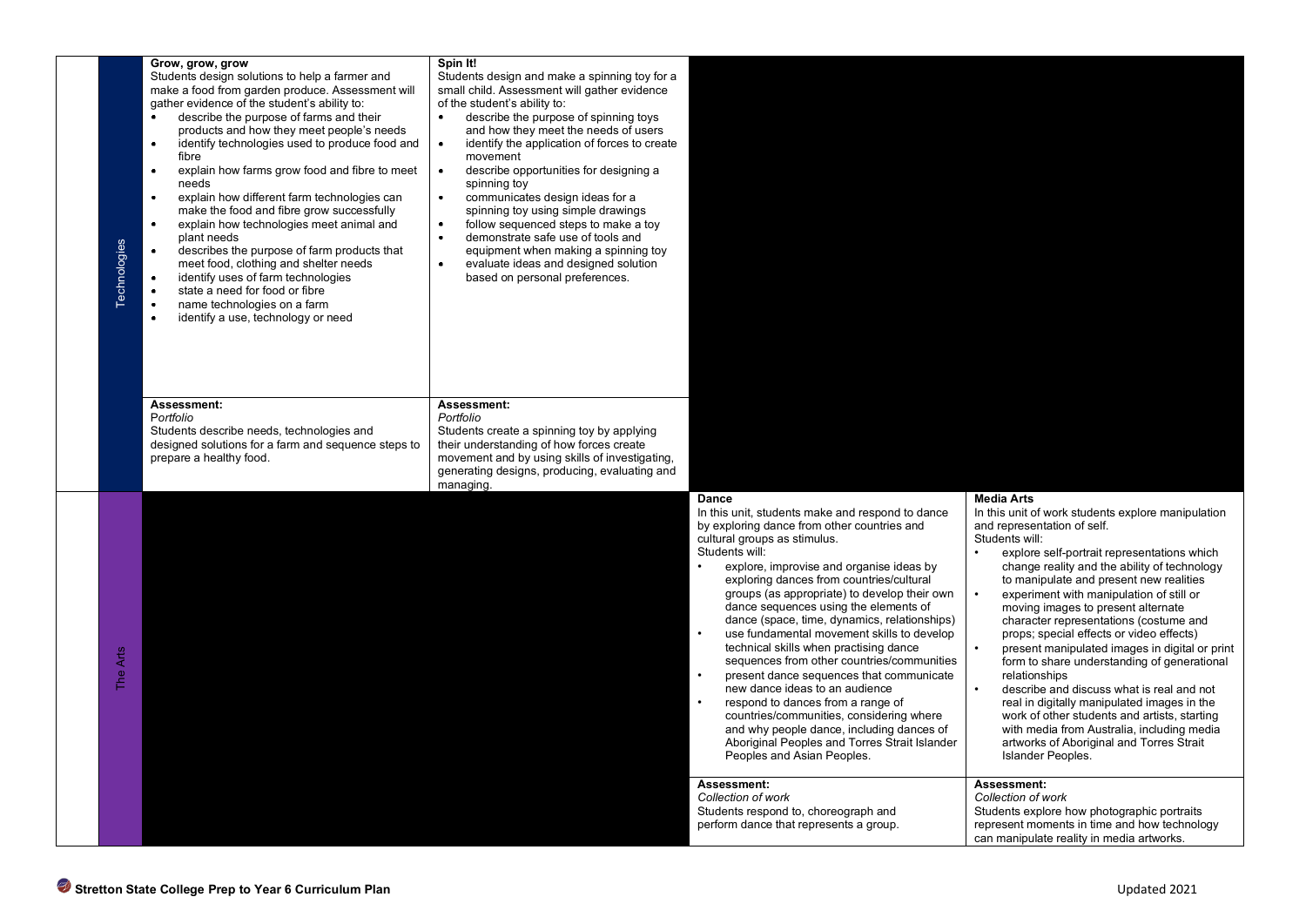| <b>Technologies</b> | Grow, grow, grow<br>Students design solutions to help a farmer and<br>make a food from garden produce. Assessment will<br>gather evidence of the student's ability to:<br>describe the purpose of farms and their<br>products and how they meet people's needs<br>identify technologies used to produce food and<br>fibre<br>explain how farms grow food and fibre to meet<br>$\bullet$<br>needs<br>explain how different farm technologies can<br>make the food and fibre grow successfully<br>explain how technologies meet animal and<br>$\bullet$<br>plant needs<br>describes the purpose of farm products that<br>meet food, clothing and shelter needs<br>identify uses of farm technologies<br>state a need for food or fibre<br>name technologies on a farm<br>identify a use, technology or need | Spin It!<br>Students design and make a spinning toy for a<br>small child. Assessment will gather evidence<br>of the student's ability to:<br>describe the purpose of spinning toys<br>and how they meet the needs of users<br>identify the application of forces to create<br>movement<br>$\bullet$<br>describe opportunities for designing a<br>spinning toy<br>communicates design ideas for a<br>spinning toy using simple drawings<br>follow sequenced steps to make a toy<br>demonstrate safe use of tools and<br>equipment when making a spinning toy<br>evaluate ideas and designed solution<br>based on personal preferences. |                                                                                                                                                                                                                                                                                                                                                                                                                                                                                                                                                                                                                                                                                                                                                                                                                                     |                                                                                                                                                                                                                                                                                                                                                                                                                                                                                                                                                                                                                                                                                                                                                                                                                         |
|---------------------|-----------------------------------------------------------------------------------------------------------------------------------------------------------------------------------------------------------------------------------------------------------------------------------------------------------------------------------------------------------------------------------------------------------------------------------------------------------------------------------------------------------------------------------------------------------------------------------------------------------------------------------------------------------------------------------------------------------------------------------------------------------------------------------------------------------|---------------------------------------------------------------------------------------------------------------------------------------------------------------------------------------------------------------------------------------------------------------------------------------------------------------------------------------------------------------------------------------------------------------------------------------------------------------------------------------------------------------------------------------------------------------------------------------------------------------------------------------|-------------------------------------------------------------------------------------------------------------------------------------------------------------------------------------------------------------------------------------------------------------------------------------------------------------------------------------------------------------------------------------------------------------------------------------------------------------------------------------------------------------------------------------------------------------------------------------------------------------------------------------------------------------------------------------------------------------------------------------------------------------------------------------------------------------------------------------|-------------------------------------------------------------------------------------------------------------------------------------------------------------------------------------------------------------------------------------------------------------------------------------------------------------------------------------------------------------------------------------------------------------------------------------------------------------------------------------------------------------------------------------------------------------------------------------------------------------------------------------------------------------------------------------------------------------------------------------------------------------------------------------------------------------------------|
|                     | Assessment:<br>Portfolio<br>Students describe needs, technologies and<br>designed solutions for a farm and sequence steps to<br>prepare a healthy food.                                                                                                                                                                                                                                                                                                                                                                                                                                                                                                                                                                                                                                                   | Assessment:<br>Portfolio<br>Students create a spinning toy by applying<br>their understanding of how forces create<br>movement and by using skills of investigating,<br>generating designs, producing, evaluating and<br>managing.                                                                                                                                                                                                                                                                                                                                                                                                    |                                                                                                                                                                                                                                                                                                                                                                                                                                                                                                                                                                                                                                                                                                                                                                                                                                     |                                                                                                                                                                                                                                                                                                                                                                                                                                                                                                                                                                                                                                                                                                                                                                                                                         |
| Arts<br>The         |                                                                                                                                                                                                                                                                                                                                                                                                                                                                                                                                                                                                                                                                                                                                                                                                           |                                                                                                                                                                                                                                                                                                                                                                                                                                                                                                                                                                                                                                       | <b>Dance</b><br>In this unit, students make and respond to dance<br>by exploring dance from other countries and<br>cultural groups as stimulus.<br>Students will:<br>explore, improvise and organise ideas by<br>exploring dances from countries/cultural<br>groups (as appropriate) to develop their own<br>dance sequences using the elements of<br>dance (space, time, dynamics, relationships)<br>use fundamental movement skills to develop<br>technical skills when practising dance<br>sequences from other countries/communities<br>present dance sequences that communicate<br>new dance ideas to an audience<br>respond to dances from a range of<br>countries/communities, considering where<br>and why people dance, including dances of<br>Aboriginal Peoples and Torres Strait Islander<br>Peoples and Asian Peoples. | <b>Media Arts</b><br>In this unit of work students explore manipulation<br>and representation of self.<br>Students will:<br>explore self-portrait representations which<br>change reality and the ability of technology<br>to manipulate and present new realities<br>experiment with manipulation of still or<br>moving images to present alternate<br>character representations (costume and<br>props; special effects or video effects)<br>present manipulated images in digital or print<br>form to share understanding of generational<br>relationships<br>describe and discuss what is real and not<br>real in digitally manipulated images in the<br>work of other students and artists, starting<br>with media from Australia, including media<br>artworks of Aboriginal and Torres Strait<br>Islander Peoples. |
|                     |                                                                                                                                                                                                                                                                                                                                                                                                                                                                                                                                                                                                                                                                                                                                                                                                           |                                                                                                                                                                                                                                                                                                                                                                                                                                                                                                                                                                                                                                       | Assessment:<br>Collection of work<br>Students respond to, choreograph and<br>perform dance that represents a group.                                                                                                                                                                                                                                                                                                                                                                                                                                                                                                                                                                                                                                                                                                                 | Assessment:<br>Collection of work<br>Students explore how photographic portraits<br>represent moments in time and how technology<br>can manipulate reality in media artworks.                                                                                                                                                                                                                                                                                                                                                                                                                                                                                                                                                                                                                                           |
|                     | Stretton State College Prep to Year 6 Curriculum Plan                                                                                                                                                                                                                                                                                                                                                                                                                                                                                                                                                                                                                                                                                                                                                     |                                                                                                                                                                                                                                                                                                                                                                                                                                                                                                                                                                                                                                       |                                                                                                                                                                                                                                                                                                                                                                                                                                                                                                                                                                                                                                                                                                                                                                                                                                     | Updated 2021                                                                                                                                                                                                                                                                                                                                                                                                                                                                                                                                                                                                                                                                                                                                                                                                            |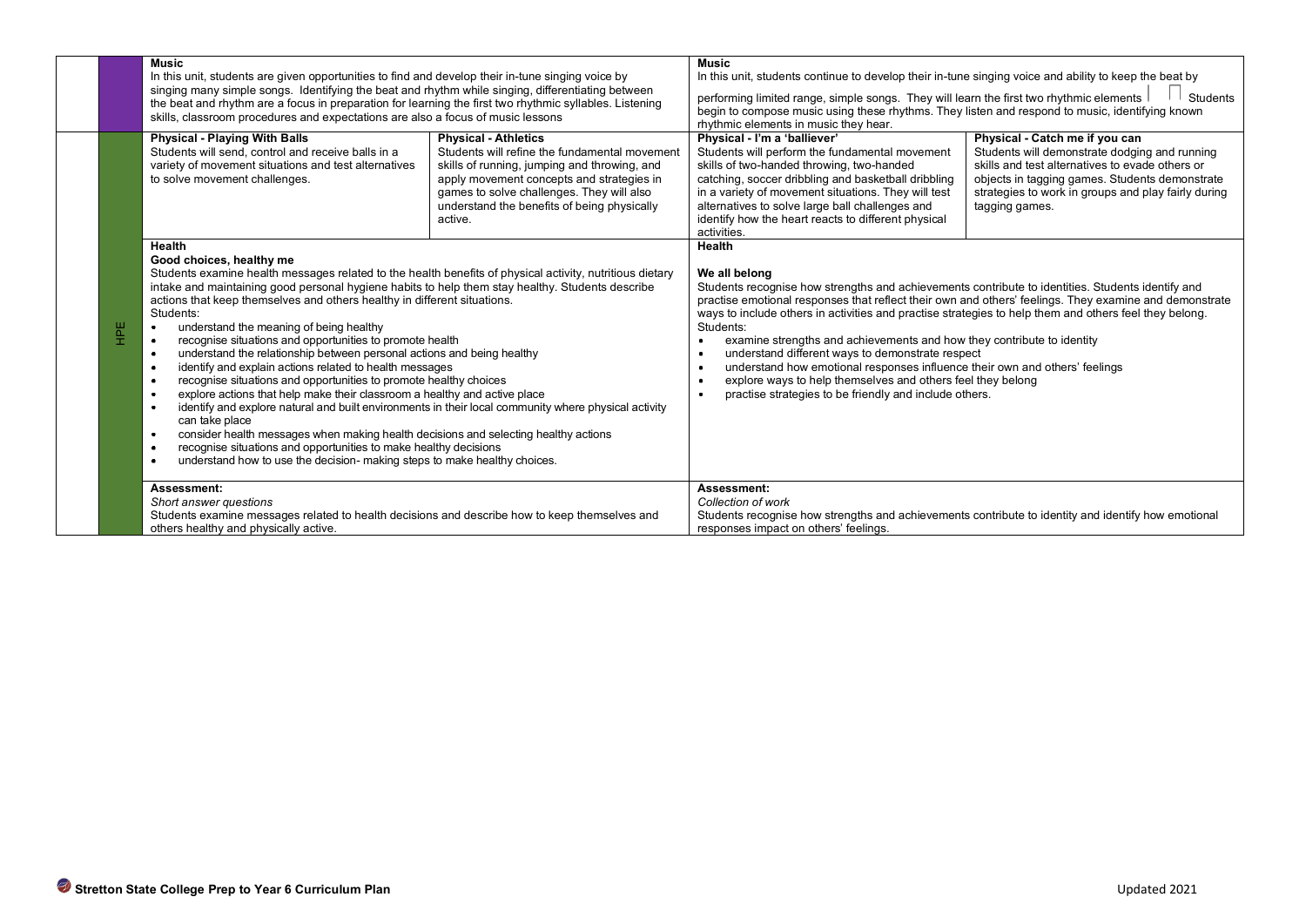|    | <b>Music</b><br>In this unit, students are given opportunities to find and develop their in-tune singing voice by<br>singing many simple songs. Identifying the beat and rhythm while singing, differentiating between<br>the beat and rhythm are a focus in preparation for learning the first two rhythmic syllables. Listening<br>skills, classroom procedures and expectations are also a focus of music lessons                                                                                                                                                                                                                                                                                                                                                                                                                                                                                                                                                                                                                                                                                                                                                                                                             |                                                                                                                                                                                                                                                                                  | <b>Music</b><br>In this unit, students continue to develop their in-tune singing voice and ability to keep the beat by<br>performing limited range, simple songs. They will learn the first two rhythmic elements<br>Students<br>begin to compose music using these rhythms. They listen and respond to music, identifying known<br>rhythmic elements in music they hear.                                                                                                                                                                                                                                                                                                                 |                                                                                                                                                                                                                                                               |
|----|----------------------------------------------------------------------------------------------------------------------------------------------------------------------------------------------------------------------------------------------------------------------------------------------------------------------------------------------------------------------------------------------------------------------------------------------------------------------------------------------------------------------------------------------------------------------------------------------------------------------------------------------------------------------------------------------------------------------------------------------------------------------------------------------------------------------------------------------------------------------------------------------------------------------------------------------------------------------------------------------------------------------------------------------------------------------------------------------------------------------------------------------------------------------------------------------------------------------------------|----------------------------------------------------------------------------------------------------------------------------------------------------------------------------------------------------------------------------------------------------------------------------------|-------------------------------------------------------------------------------------------------------------------------------------------------------------------------------------------------------------------------------------------------------------------------------------------------------------------------------------------------------------------------------------------------------------------------------------------------------------------------------------------------------------------------------------------------------------------------------------------------------------------------------------------------------------------------------------------|---------------------------------------------------------------------------------------------------------------------------------------------------------------------------------------------------------------------------------------------------------------|
|    | <b>Physical - Playing With Balls</b><br>Students will send, control and receive balls in a<br>variety of movement situations and test alternatives<br>to solve movement challenges.                                                                                                                                                                                                                                                                                                                                                                                                                                                                                                                                                                                                                                                                                                                                                                                                                                                                                                                                                                                                                                              | <b>Physical - Athletics</b><br>Students will refine the fundamental movement<br>skills of running, jumping and throwing, and<br>apply movement concepts and strategies in<br>games to solve challenges. They will also<br>understand the benefits of being physically<br>active. | Physical - I'm a 'balliever'<br>Students will perform the fundamental movement<br>skills of two-handed throwing, two-handed<br>catching, soccer dribbling and basketball dribbling<br>in a variety of movement situations. They will test<br>alternatives to solve large ball challenges and<br>identify how the heart reacts to different physical<br>activities.                                                                                                                                                                                                                                                                                                                        | Physical - Catch me if you can<br>Students will demonstrate dodging and running<br>skills and test alternatives to evade others or<br>objects in tagging games. Students demonstrate<br>strategies to work in groups and play fairly during<br>tagging games. |
| ΗË | Health<br>Good choices, healthy me<br>Students examine health messages related to the health benefits of physical activity, nutritious dietary<br>intake and maintaining good personal hygiene habits to help them stay healthy. Students describe<br>actions that keep themselves and others healthy in different situations.<br>Students:<br>understand the meaning of being healthy<br>$\bullet$<br>recognise situations and opportunities to promote health<br>$\bullet$<br>understand the relationship between personal actions and being healthy<br>$\bullet$<br>identify and explain actions related to health messages<br>recognise situations and opportunities to promote healthy choices<br>$\bullet$<br>explore actions that help make their classroom a healthy and active place<br>$\bullet$<br>identify and explore natural and built environments in their local community where physical activity<br>$\bullet$<br>can take place<br>consider health messages when making health decisions and selecting healthy actions<br>$\bullet$<br>recognise situations and opportunities to make healthy decisions<br>$\bullet$<br>understand how to use the decision- making steps to make healthy choices.<br>$\bullet$ |                                                                                                                                                                                                                                                                                  | We all belong<br>Students recognise how strengths and achievements contribute to identities. Students identify and<br>practise emotional responses that reflect their own and others' feelings. They examine and demonstrate<br>ways to include others in activities and practise strategies to help them and others feel they belong.<br>Students:<br>examine strengths and achievements and how they contribute to identity<br>understand different ways to demonstrate respect<br>understand how emotional responses influence their own and others' feelings<br>explore ways to help themselves and others feel they belong<br>practise strategies to be friendly and include others. |                                                                                                                                                                                                                                                               |
|    | Assessment:<br>Short answer questions<br>Students examine messages related to health decisions and describe how to keep themselves and<br>others healthy and physically active.                                                                                                                                                                                                                                                                                                                                                                                                                                                                                                                                                                                                                                                                                                                                                                                                                                                                                                                                                                                                                                                  |                                                                                                                                                                                                                                                                                  | Assessment:<br>Collection of work<br>Students recognise how strengths and achievements contribute to identity and identify how emotional<br>responses impact on others' feelings.                                                                                                                                                                                                                                                                                                                                                                                                                                                                                                         |                                                                                                                                                                                                                                                               |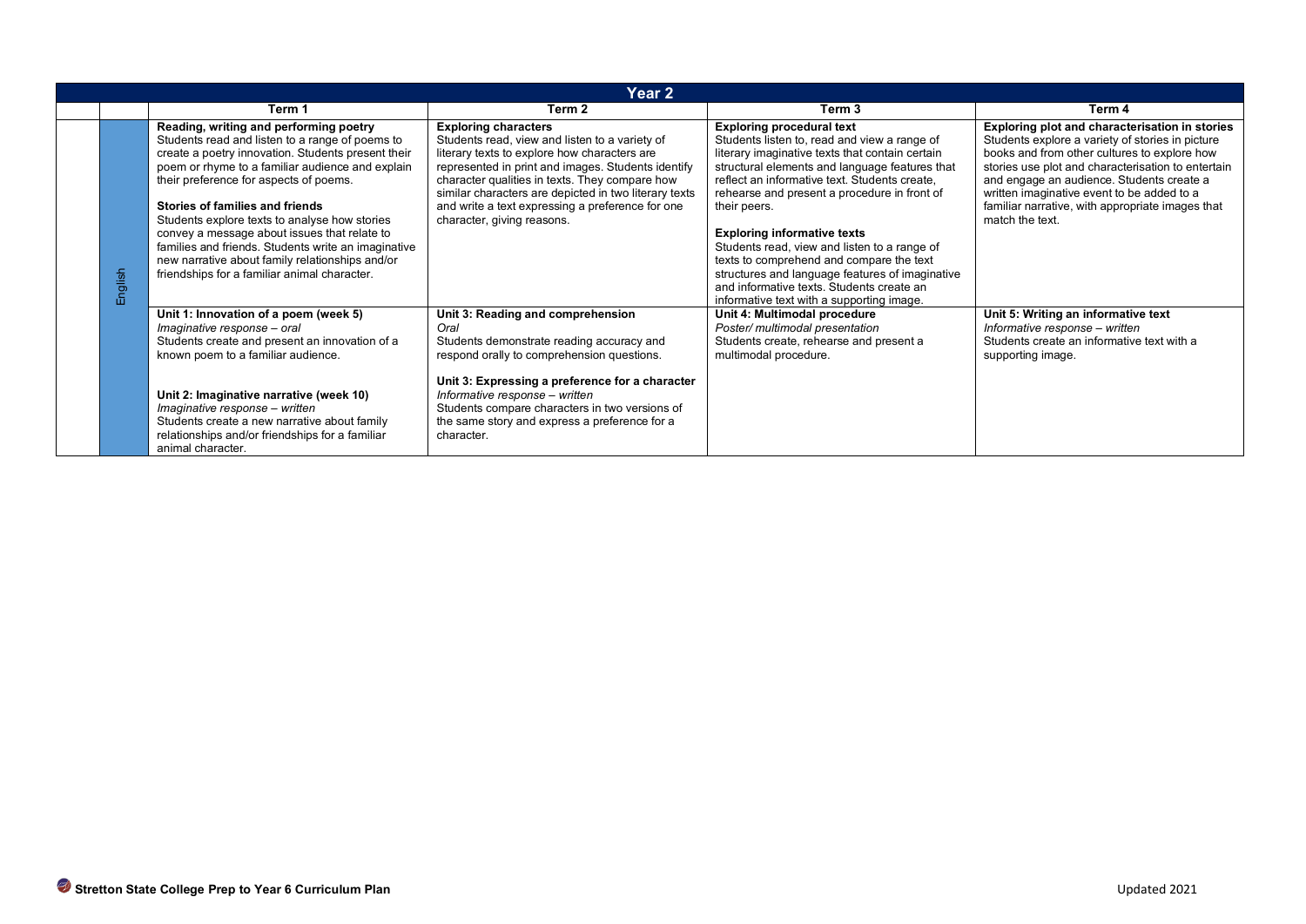| Year <sub>2</sub> |                                                                                                                                                                                                                                                                                                                                                                                                                                                                                                                                             |                                                                                                                                                                                                                                                                                                                                                                                  |                                                                                                                                                                                                                                                                                                                                                                                                                                                                                                                                                                                       |                                                                                                                                                                                                                                                                                                                                                                            |
|-------------------|---------------------------------------------------------------------------------------------------------------------------------------------------------------------------------------------------------------------------------------------------------------------------------------------------------------------------------------------------------------------------------------------------------------------------------------------------------------------------------------------------------------------------------------------|----------------------------------------------------------------------------------------------------------------------------------------------------------------------------------------------------------------------------------------------------------------------------------------------------------------------------------------------------------------------------------|---------------------------------------------------------------------------------------------------------------------------------------------------------------------------------------------------------------------------------------------------------------------------------------------------------------------------------------------------------------------------------------------------------------------------------------------------------------------------------------------------------------------------------------------------------------------------------------|----------------------------------------------------------------------------------------------------------------------------------------------------------------------------------------------------------------------------------------------------------------------------------------------------------------------------------------------------------------------------|
|                   | Term 1                                                                                                                                                                                                                                                                                                                                                                                                                                                                                                                                      | Term 2                                                                                                                                                                                                                                                                                                                                                                           | Term <sub>3</sub>                                                                                                                                                                                                                                                                                                                                                                                                                                                                                                                                                                     | Term 4                                                                                                                                                                                                                                                                                                                                                                     |
| English           | Reading, writing and performing poetry<br>Students read and listen to a range of poems to<br>create a poetry innovation. Students present their<br>poem or rhyme to a familiar audience and explain<br>their preference for aspects of poems.<br>Stories of families and friends<br>Students explore texts to analyse how stories<br>convey a message about issues that relate to<br>families and friends. Students write an imaginative<br>new narrative about family relationships and/or<br>friendships for a familiar animal character. | <b>Exploring characters</b><br>Students read, view and listen to a variety of<br>literary texts to explore how characters are<br>represented in print and images. Students identify<br>character qualities in texts. They compare how<br>similar characters are depicted in two literary texts<br>and write a text expressing a preference for one<br>character, giving reasons. | <b>Exploring procedural text</b><br>Students listen to, read and view a range of<br>literary imaginative texts that contain certain<br>structural elements and language features that<br>reflect an informative text. Students create,<br>rehearse and present a procedure in front of<br>their peers.<br><b>Exploring informative texts</b><br>Students read, view and listen to a range of<br>texts to comprehend and compare the text<br>structures and language features of imaginative<br>and informative texts. Students create an<br>informative text with a supporting image. | Exploring plot and characterisation in stories<br>Students explore a variety of stories in picture<br>books and from other cultures to explore how<br>stories use plot and characterisation to entertain<br>and engage an audience. Students create a<br>written imaginative event to be added to a<br>familiar narrative, with appropriate images that<br>match the text. |
|                   | Unit 1: Innovation of a poem (week 5)<br>Imaginative response - oral<br>Students create and present an innovation of a<br>known poem to a familiar audience.<br>Unit 2: Imaginative narrative (week 10)<br>Imaginative response - written<br>Students create a new narrative about family<br>relationships and/or friendships for a familiar<br>animal character.                                                                                                                                                                           | Unit 3: Reading and comprehension<br>Oral<br>Students demonstrate reading accuracy and<br>respond orally to comprehension questions.<br>Unit 3: Expressing a preference for a character<br>Informative response - written<br>Students compare characters in two versions of<br>the same story and express a preference for a<br>character.                                       | Unit 4: Multimodal procedure<br>Poster/ multimodal presentation<br>Students create, rehearse and present a<br>multimodal procedure.                                                                                                                                                                                                                                                                                                                                                                                                                                                   | Unit 5: Writing an informative text<br>Informative response - written<br>Students create an informative text with a<br>supporting image.                                                                                                                                                                                                                                   |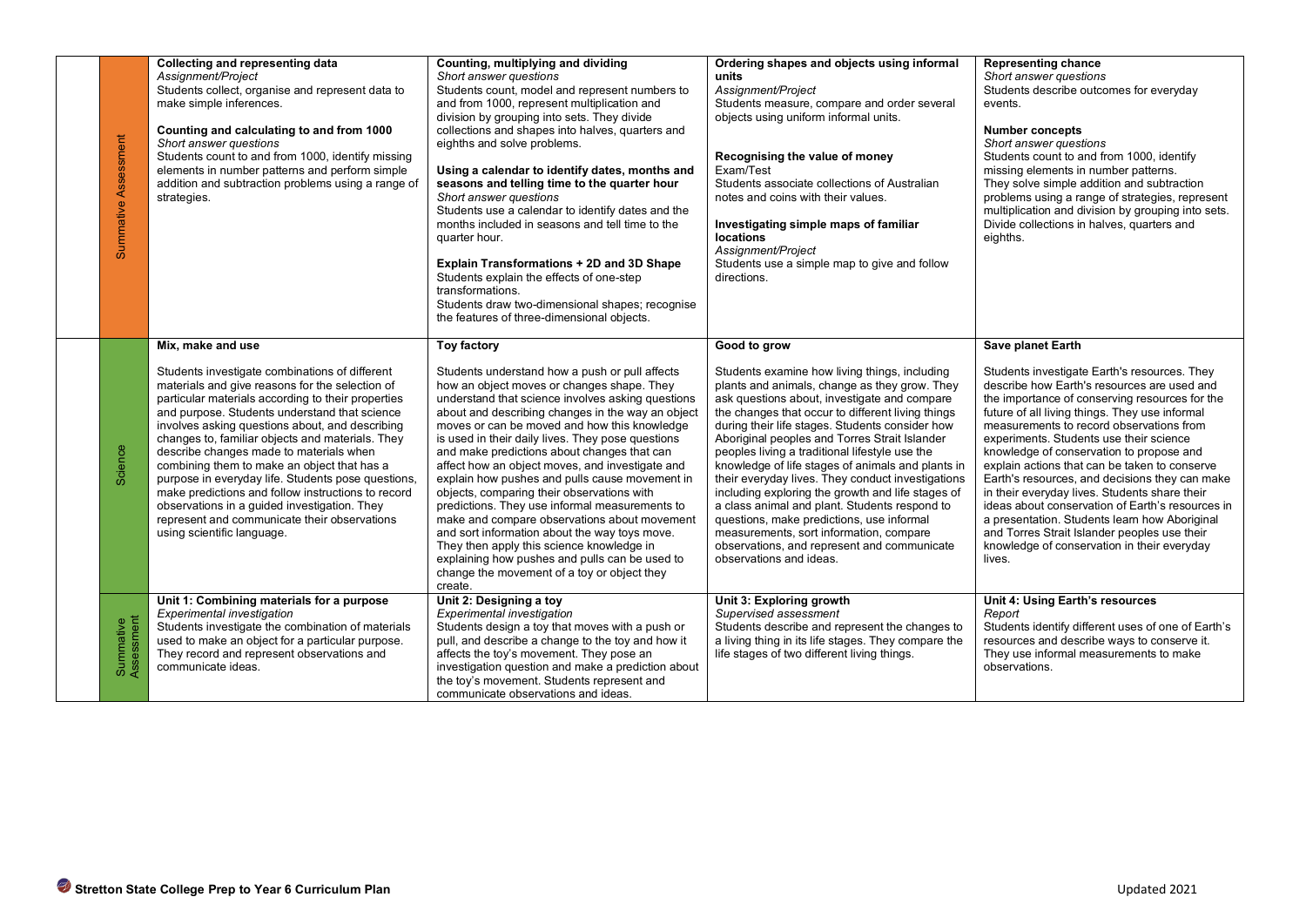| Assessment<br>Summative | Collecting and representing data<br>Assignment/Project<br>Students collect, organise and represent data to<br>make simple inferences.<br>Counting and calculating to and from 1000<br>Short answer questions<br>Students count to and from 1000, identify missing<br>elements in number patterns and perform simple<br>addition and subtraction problems using a range of<br>strategies.                                                                                                                                                                                                                                                                                 | Counting, multiplying and dividing<br>Short answer questions<br>Students count, model and represent numbers to<br>and from 1000, represent multiplication and<br>division by grouping into sets. They divide<br>collections and shapes into halves, quarters and<br>eighths and solve problems.<br>Using a calendar to identify dates, months and<br>seasons and telling time to the quarter hour<br>Short answer questions<br>Students use a calendar to identify dates and the<br>months included in seasons and tell time to the<br>quarter hour.<br>Explain Transformations + 2D and 3D Shape<br>Students explain the effects of one-step<br>transformations.<br>Students draw two-dimensional shapes; recognise<br>the features of three-dimensional objects.                                                                              | Ordering shapes and objects using informal<br>units<br>Assignment/Project<br>Students measure, compare and order several<br>objects using uniform informal units.<br>Recognising the value of money<br>Exam/Test<br>Students associate collections of Australian<br>notes and coins with their values.<br>Investigating simple maps of familiar<br>locations<br>Assignment/Project<br>Students use a simple map to give and follow<br>directions.                                                                                                                                                                                                                                                                                                           | <b>Representing chance</b><br>Short answer questions<br>Students describe outcomes for everyday<br>events.<br><b>Number concepts</b><br>Short answer questions<br>Students count to and from 1000, identify<br>missing elements in number patterns.<br>They solve simple addition and subtraction<br>problems using a range of strategies, represent<br>multiplication and division by grouping into sets.<br>Divide collections in halves, quarters and<br>eighths.                                                                                                                                                                                                                                                      |
|-------------------------|--------------------------------------------------------------------------------------------------------------------------------------------------------------------------------------------------------------------------------------------------------------------------------------------------------------------------------------------------------------------------------------------------------------------------------------------------------------------------------------------------------------------------------------------------------------------------------------------------------------------------------------------------------------------------|-------------------------------------------------------------------------------------------------------------------------------------------------------------------------------------------------------------------------------------------------------------------------------------------------------------------------------------------------------------------------------------------------------------------------------------------------------------------------------------------------------------------------------------------------------------------------------------------------------------------------------------------------------------------------------------------------------------------------------------------------------------------------------------------------------------------------------------------------|-------------------------------------------------------------------------------------------------------------------------------------------------------------------------------------------------------------------------------------------------------------------------------------------------------------------------------------------------------------------------------------------------------------------------------------------------------------------------------------------------------------------------------------------------------------------------------------------------------------------------------------------------------------------------------------------------------------------------------------------------------------|---------------------------------------------------------------------------------------------------------------------------------------------------------------------------------------------------------------------------------------------------------------------------------------------------------------------------------------------------------------------------------------------------------------------------------------------------------------------------------------------------------------------------------------------------------------------------------------------------------------------------------------------------------------------------------------------------------------------------|
| Science                 | Mix, make and use<br>Students investigate combinations of different<br>materials and give reasons for the selection of<br>particular materials according to their properties<br>and purpose. Students understand that science<br>involves asking questions about, and describing<br>changes to, familiar objects and materials. They<br>describe changes made to materials when<br>combining them to make an object that has a<br>purpose in everyday life. Students pose questions,<br>make predictions and follow instructions to record<br>observations in a guided investigation. They<br>represent and communicate their observations<br>using scientific language. | <b>Toy factory</b><br>Students understand how a push or pull affects<br>how an object moves or changes shape. They<br>understand that science involves asking questions<br>about and describing changes in the way an object<br>moves or can be moved and how this knowledge<br>is used in their daily lives. They pose questions<br>and make predictions about changes that can<br>affect how an object moves, and investigate and<br>explain how pushes and pulls cause movement in<br>objects, comparing their observations with<br>predictions. They use informal measurements to<br>make and compare observations about movement<br>and sort information about the way toys move.<br>They then apply this science knowledge in<br>explaining how pushes and pulls can be used to<br>change the movement of a toy or object they<br>create. | Good to grow<br>Students examine how living things, including<br>plants and animals, change as they grow. They<br>ask questions about, investigate and compare<br>the changes that occur to different living things<br>during their life stages. Students consider how<br>Aboriginal peoples and Torres Strait Islander<br>peoples living a traditional lifestyle use the<br>knowledge of life stages of animals and plants in<br>their everyday lives. They conduct investigations<br>including exploring the growth and life stages of<br>a class animal and plant. Students respond to<br>questions, make predictions, use informal<br>measurements, sort information, compare<br>observations, and represent and communicate<br>observations and ideas. | Save planet Earth<br>Students investigate Earth's resources. They<br>describe how Earth's resources are used and<br>the importance of conserving resources for the<br>future of all living things. They use informal<br>measurements to record observations from<br>experiments. Students use their science<br>knowledge of conservation to propose and<br>explain actions that can be taken to conserve<br>Earth's resources, and decisions they can make<br>in their everyday lives. Students share their<br>ideas about conservation of Earth's resources in<br>a presentation. Students learn how Aboriginal<br>and Torres Strait Islander peoples use their<br>knowledge of conservation in their everyday<br>lives. |
| Summative<br>Assessment | Unit 1: Combining materials for a purpose<br><b>Experimental investigation</b><br>Students investigate the combination of materials<br>used to make an object for a particular purpose.<br>They record and represent observations and<br>communicate ideas.                                                                                                                                                                                                                                                                                                                                                                                                              | Unit 2: Designing a toy<br>Experimental investigation<br>Students design a toy that moves with a push or<br>pull, and describe a change to the toy and how it<br>affects the toy's movement. They pose an<br>investigation question and make a prediction about<br>the toy's movement. Students represent and<br>communicate observations and ideas.                                                                                                                                                                                                                                                                                                                                                                                                                                                                                            | Unit 3: Exploring growth<br>Supervised assessment<br>Students describe and represent the changes to<br>a living thing in its life stages. They compare the<br>life stages of two different living things.                                                                                                                                                                                                                                                                                                                                                                                                                                                                                                                                                   | Unit 4: Using Earth's resources<br>Report<br>Students identify different uses of one of Earth's<br>resources and describe ways to conserve it.<br>They use informal measurements to make<br>observations.                                                                                                                                                                                                                                                                                                                                                                                                                                                                                                                 |
|                         | Stretton State College Prep to Year 6 Curriculum Plan                                                                                                                                                                                                                                                                                                                                                                                                                                                                                                                                                                                                                    |                                                                                                                                                                                                                                                                                                                                                                                                                                                                                                                                                                                                                                                                                                                                                                                                                                                 |                                                                                                                                                                                                                                                                                                                                                                                                                                                                                                                                                                                                                                                                                                                                                             | Updated 2021                                                                                                                                                                                                                                                                                                                                                                                                                                                                                                                                                                                                                                                                                                              |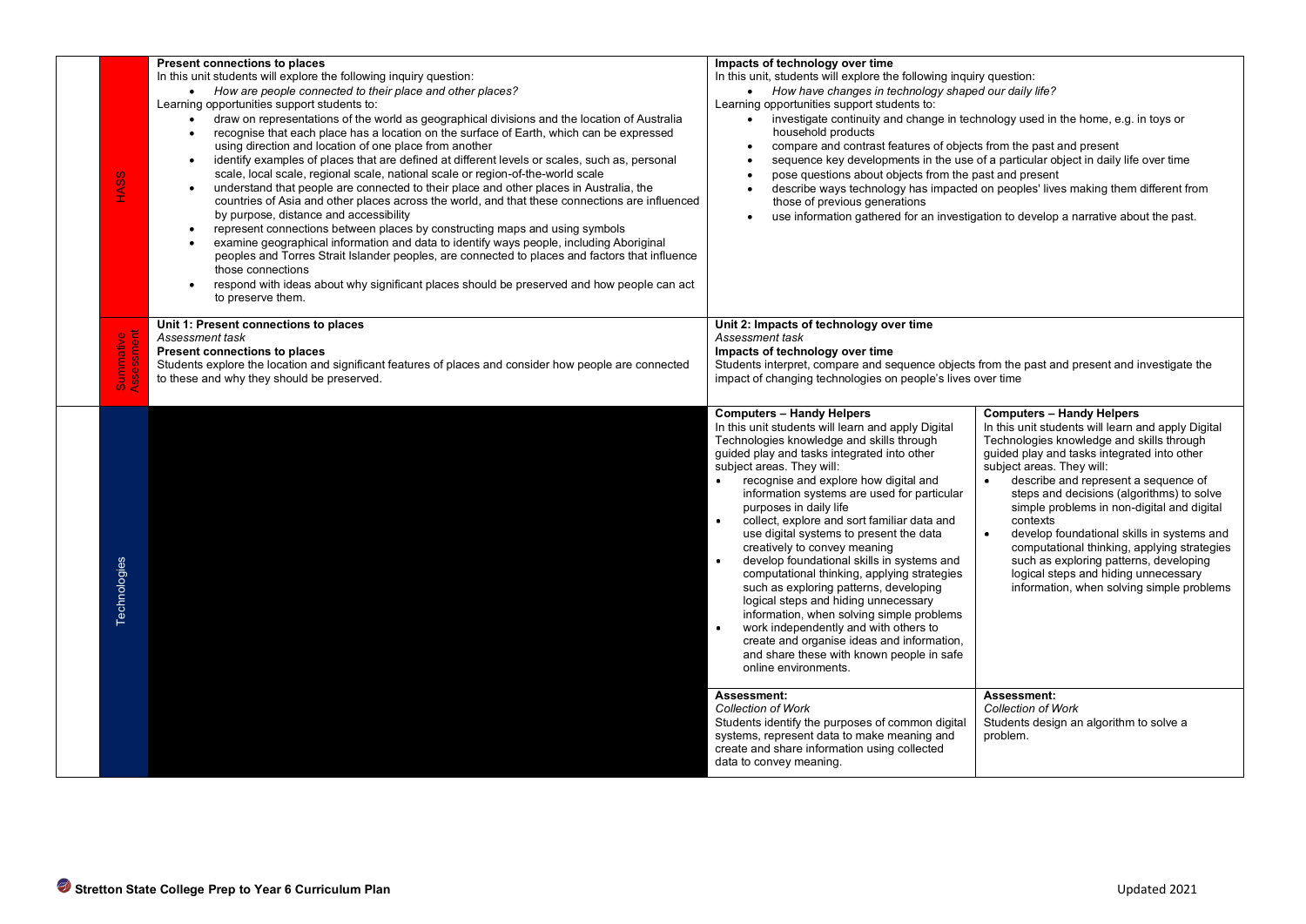| <b>HASS</b>                                                           | <b>Present connections to places</b><br>In this unit students will explore the following inquiry question:<br>• How are people connected to their place and other places?<br>Learning opportunities support students to:<br>draw on representations of the world as geographical divisions and the location of Australia<br>$\bullet$<br>recognise that each place has a location on the surface of Earth, which can be expressed<br>$\bullet$<br>using direction and location of one place from another<br>identify examples of places that are defined at different levels or scales, such as, personal<br>$\bullet$<br>scale, local scale, regional scale, national scale or region-of-the-world scale<br>understand that people are connected to their place and other places in Australia, the<br>countries of Asia and other places across the world, and that these connections are influenced<br>by purpose, distance and accessibility<br>represent connections between places by constructing maps and using symbols<br>$\bullet$<br>examine geographical information and data to identify ways people, including Aboriginal<br>peoples and Torres Strait Islander peoples, are connected to places and factors that influence<br>those connections<br>respond with ideas about why significant places should be preserved and how people can act<br>to preserve them. | Impacts of technology over time<br>In this unit, students will explore the following inquiry question:<br>How have changes in technology shaped our daily life?<br>$\bullet$<br>Learning opportunities support students to:<br>household products<br>compare and contrast features of objects from the past and present<br>$\bullet$<br>pose questions about objects from the past and present<br>$\bullet$<br>those of previous generations<br>$\bullet$                                                                                                                                                                                                                                                                                                                                                                                                                     | investigate continuity and change in technology used in the home, e.g. in toys or<br>sequence key developments in the use of a particular object in daily life over time<br>describe ways technology has impacted on peoples' lives making them different from<br>use information gathered for an investigation to develop a narrative about the past.                                                                                                                                                                                                                                                  |
|-----------------------------------------------------------------------|----------------------------------------------------------------------------------------------------------------------------------------------------------------------------------------------------------------------------------------------------------------------------------------------------------------------------------------------------------------------------------------------------------------------------------------------------------------------------------------------------------------------------------------------------------------------------------------------------------------------------------------------------------------------------------------------------------------------------------------------------------------------------------------------------------------------------------------------------------------------------------------------------------------------------------------------------------------------------------------------------------------------------------------------------------------------------------------------------------------------------------------------------------------------------------------------------------------------------------------------------------------------------------------------------------------------------------------------------------------------------------|-------------------------------------------------------------------------------------------------------------------------------------------------------------------------------------------------------------------------------------------------------------------------------------------------------------------------------------------------------------------------------------------------------------------------------------------------------------------------------------------------------------------------------------------------------------------------------------------------------------------------------------------------------------------------------------------------------------------------------------------------------------------------------------------------------------------------------------------------------------------------------|---------------------------------------------------------------------------------------------------------------------------------------------------------------------------------------------------------------------------------------------------------------------------------------------------------------------------------------------------------------------------------------------------------------------------------------------------------------------------------------------------------------------------------------------------------------------------------------------------------|
| 95<br>ឹ ខ្ញុំ                                                         | Unit 1: Present connections to places<br>Assessment task<br><b>Present connections to places</b><br>Students explore the location and significant features of places and consider how people are connected<br>to these and why they should be preserved.                                                                                                                                                                                                                                                                                                                                                                                                                                                                                                                                                                                                                                                                                                                                                                                                                                                                                                                                                                                                                                                                                                                         | Unit 2: Impacts of technology over time<br>Assessment task<br>Impacts of technology over time<br>Students interpret, compare and sequence objects from the past and present and investigate the<br>impact of changing technologies on people's lives over time                                                                                                                                                                                                                                                                                                                                                                                                                                                                                                                                                                                                                |                                                                                                                                                                                                                                                                                                                                                                                                                                                                                                                                                                                                         |
| Technologies                                                          |                                                                                                                                                                                                                                                                                                                                                                                                                                                                                                                                                                                                                                                                                                                                                                                                                                                                                                                                                                                                                                                                                                                                                                                                                                                                                                                                                                                  | <b>Computers - Handy Helpers</b><br>In this unit students will learn and apply Digital<br>Technologies knowledge and skills through<br>quided play and tasks integrated into other<br>subject areas. They will:<br>recognise and explore how digital and<br>information systems are used for particular<br>purposes in daily life<br>collect, explore and sort familiar data and<br>$\bullet$<br>use digital systems to present the data<br>creatively to convey meaning<br>develop foundational skills in systems and<br>computational thinking, applying strategies<br>such as exploring patterns, developing<br>logical steps and hiding unnecessary<br>information, when solving simple problems<br>$\bullet$<br>work independently and with others to<br>create and organise ideas and information,<br>and share these with known people in safe<br>online environments. | <b>Computers - Handy Helpers</b><br>In this unit students will learn and apply Digital<br>Technologies knowledge and skills through<br>guided play and tasks integrated into other<br>subject areas. They will:<br>describe and represent a sequence of<br>steps and decisions (algorithms) to solve<br>simple problems in non-digital and digital<br>contexts<br>$\bullet$<br>develop foundational skills in systems and<br>computational thinking, applying strategies<br>such as exploring patterns, developing<br>logical steps and hiding unnecessary<br>information, when solving simple problems |
|                                                                       |                                                                                                                                                                                                                                                                                                                                                                                                                                                                                                                                                                                                                                                                                                                                                                                                                                                                                                                                                                                                                                                                                                                                                                                                                                                                                                                                                                                  | Assessment:<br><b>Collection of Work</b><br>Students identify the purposes of common digital<br>systems, represent data to make meaning and<br>create and share information using collected<br>data to convey meaning.                                                                                                                                                                                                                                                                                                                                                                                                                                                                                                                                                                                                                                                        | Assessment:<br><b>Collection of Work</b><br>Students design an algorithm to solve a<br>problem.                                                                                                                                                                                                                                                                                                                                                                                                                                                                                                         |
|                                                                       |                                                                                                                                                                                                                                                                                                                                                                                                                                                                                                                                                                                                                                                                                                                                                                                                                                                                                                                                                                                                                                                                                                                                                                                                                                                                                                                                                                                  |                                                                                                                                                                                                                                                                                                                                                                                                                                                                                                                                                                                                                                                                                                                                                                                                                                                                               |                                                                                                                                                                                                                                                                                                                                                                                                                                                                                                                                                                                                         |
| Stretton State College Prep to Year 6 Curriculum Plan<br>Updated 2021 |                                                                                                                                                                                                                                                                                                                                                                                                                                                                                                                                                                                                                                                                                                                                                                                                                                                                                                                                                                                                                                                                                                                                                                                                                                                                                                                                                                                  |                                                                                                                                                                                                                                                                                                                                                                                                                                                                                                                                                                                                                                                                                                                                                                                                                                                                               |                                                                                                                                                                                                                                                                                                                                                                                                                                                                                                                                                                                                         |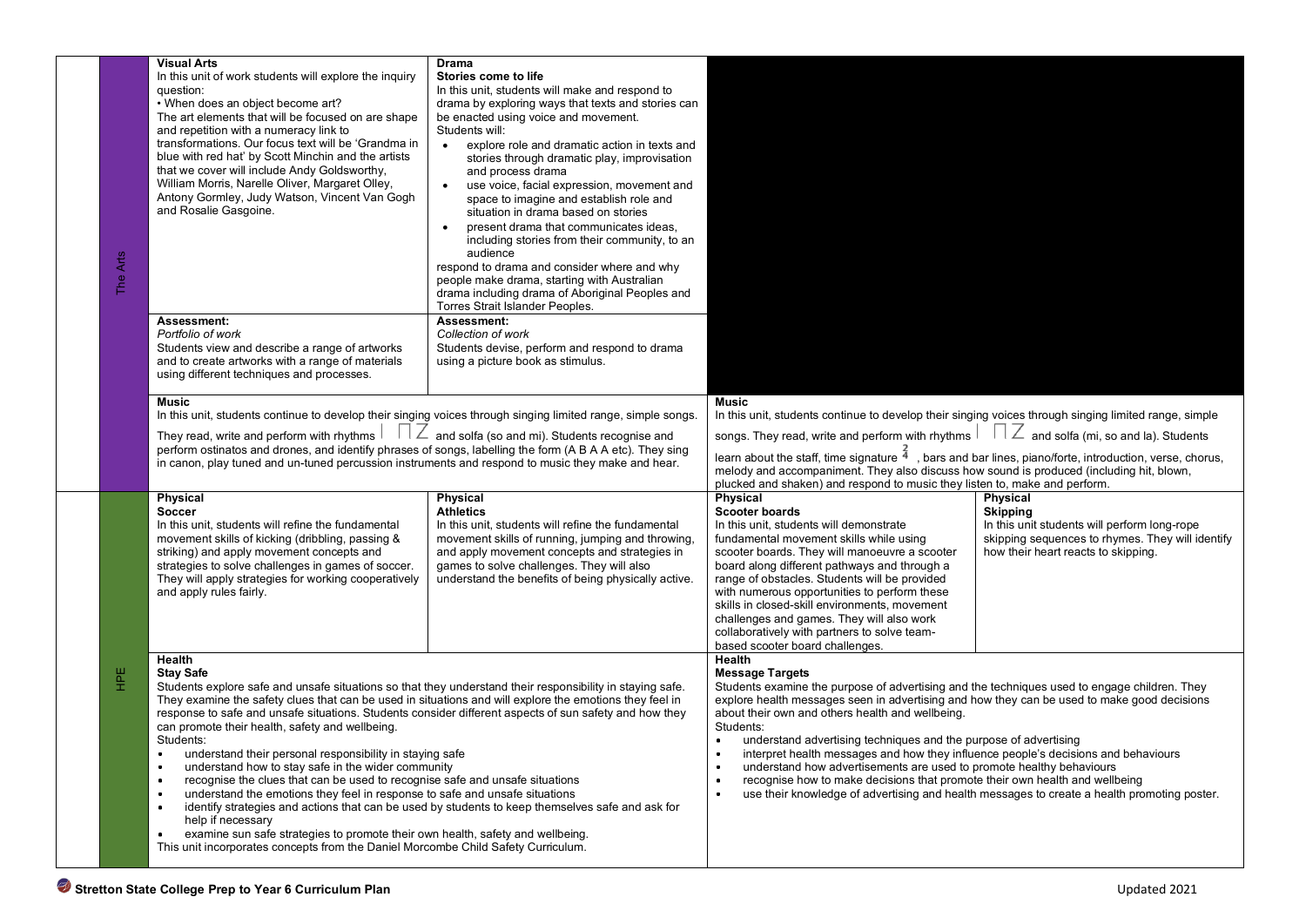|  | <b>Arts</b><br>$\mathbf{H}$ | <b>Visual Arts</b><br>In this unit of work students will explore the inquiry<br>question:<br>. When does an object become art?<br>The art elements that will be focused on are shape<br>and repetition with a numeracy link to<br>transformations. Our focus text will be 'Grandma in<br>blue with red hat' by Scott Minchin and the artists<br>that we cover will include Andy Goldsworthy,<br>William Morris, Narelle Oliver, Margaret Olley,<br>Antony Gormley, Judy Watson, Vincent Van Gogh<br>and Rosalie Gasgoine.<br>Assessment:<br>Portfolio of work                                                                                                                                                                                                                                                                                                                                                                                                | <b>Drama</b><br>Stories come to life<br>In this unit, students will make and respond to<br>drama by exploring ways that texts and stories can<br>be enacted using voice and movement.<br>Students will:<br>explore role and dramatic action in texts and<br>$\bullet$<br>stories through dramatic play, improvisation<br>and process drama<br>use voice, facial expression, movement and<br>$\bullet$<br>space to imagine and establish role and<br>situation in drama based on stories<br>present drama that communicates ideas,<br>including stories from their community, to an<br>audience<br>respond to drama and consider where and why<br>people make drama, starting with Australian<br>drama including drama of Aboriginal Peoples and<br>Torres Strait Islander Peoples.<br>Assessment:<br>Collection of work |                                                                                                                                                                                                                                                                                                 |                                                                                             |  |
|--|-----------------------------|--------------------------------------------------------------------------------------------------------------------------------------------------------------------------------------------------------------------------------------------------------------------------------------------------------------------------------------------------------------------------------------------------------------------------------------------------------------------------------------------------------------------------------------------------------------------------------------------------------------------------------------------------------------------------------------------------------------------------------------------------------------------------------------------------------------------------------------------------------------------------------------------------------------------------------------------------------------|-------------------------------------------------------------------------------------------------------------------------------------------------------------------------------------------------------------------------------------------------------------------------------------------------------------------------------------------------------------------------------------------------------------------------------------------------------------------------------------------------------------------------------------------------------------------------------------------------------------------------------------------------------------------------------------------------------------------------------------------------------------------------------------------------------------------------|-------------------------------------------------------------------------------------------------------------------------------------------------------------------------------------------------------------------------------------------------------------------------------------------------|---------------------------------------------------------------------------------------------|--|
|  |                             | Students view and describe a range of artworks<br>and to create artworks with a range of materials<br>using different techniques and processes.                                                                                                                                                                                                                                                                                                                                                                                                                                                                                                                                                                                                                                                                                                                                                                                                              | Students devise, perform and respond to drama<br>using a picture book as stimulus.                                                                                                                                                                                                                                                                                                                                                                                                                                                                                                                                                                                                                                                                                                                                      |                                                                                                                                                                                                                                                                                                 |                                                                                             |  |
|  |                             |                                                                                                                                                                                                                                                                                                                                                                                                                                                                                                                                                                                                                                                                                                                                                                                                                                                                                                                                                              |                                                                                                                                                                                                                                                                                                                                                                                                                                                                                                                                                                                                                                                                                                                                                                                                                         |                                                                                                                                                                                                                                                                                                 |                                                                                             |  |
|  |                             | <b>Music</b>                                                                                                                                                                                                                                                                                                                                                                                                                                                                                                                                                                                                                                                                                                                                                                                                                                                                                                                                                 |                                                                                                                                                                                                                                                                                                                                                                                                                                                                                                                                                                                                                                                                                                                                                                                                                         | Music                                                                                                                                                                                                                                                                                           |                                                                                             |  |
|  |                             | In this unit, students continue to develop their singing voices through singing limited range, simple songs.                                                                                                                                                                                                                                                                                                                                                                                                                                                                                                                                                                                                                                                                                                                                                                                                                                                 |                                                                                                                                                                                                                                                                                                                                                                                                                                                                                                                                                                                                                                                                                                                                                                                                                         | In this unit, students continue to develop their singing voices through singing limited range, simple                                                                                                                                                                                           |                                                                                             |  |
|  |                             | $\frac{1}{2}$ and solfa (so and mi). Students recognise and<br>They read, write and perform with rhythms<br>perform ostinatos and drones, and identify phrases of songs, labelling the form (A B A A etc). They sing<br>in canon, play tuned and un-tuned percussion instruments and respond to music they make and hear.                                                                                                                                                                                                                                                                                                                                                                                                                                                                                                                                                                                                                                    |                                                                                                                                                                                                                                                                                                                                                                                                                                                                                                                                                                                                                                                                                                                                                                                                                         | songs. They read, write and perform with rhythms $\Box$ $\Box$ and solfa (mi, so and la). Students                                                                                                                                                                                              |                                                                                             |  |
|  |                             |                                                                                                                                                                                                                                                                                                                                                                                                                                                                                                                                                                                                                                                                                                                                                                                                                                                                                                                                                              |                                                                                                                                                                                                                                                                                                                                                                                                                                                                                                                                                                                                                                                                                                                                                                                                                         | learn about the staff, time signature $4\overline{4}$ , bars and bar lines, piano/forte, introduction, verse, chorus,<br>melody and accompaniment. They also discuss how sound is produced (including hit, blown,<br>plucked and shaken) and respond to music they listen to, make and perform. |                                                                                             |  |
|  |                             | <b>Physical</b>                                                                                                                                                                                                                                                                                                                                                                                                                                                                                                                                                                                                                                                                                                                                                                                                                                                                                                                                              | <b>Physical</b>                                                                                                                                                                                                                                                                                                                                                                                                                                                                                                                                                                                                                                                                                                                                                                                                         | Physical                                                                                                                                                                                                                                                                                        | <b>Physical</b>                                                                             |  |
|  |                             | <b>Soccer</b><br>In this unit, students will refine the fundamental                                                                                                                                                                                                                                                                                                                                                                                                                                                                                                                                                                                                                                                                                                                                                                                                                                                                                          | <b>Athletics</b><br>In this unit, students will refine the fundamental                                                                                                                                                                                                                                                                                                                                                                                                                                                                                                                                                                                                                                                                                                                                                  | <b>Scooter boards</b><br>In this unit, students will demonstrate                                                                                                                                                                                                                                | <b>Skipping</b><br>In this unit students will perform long-rope                             |  |
|  |                             | movement skills of kicking (dribbling, passing &                                                                                                                                                                                                                                                                                                                                                                                                                                                                                                                                                                                                                                                                                                                                                                                                                                                                                                             | movement skills of running, jumping and throwing,                                                                                                                                                                                                                                                                                                                                                                                                                                                                                                                                                                                                                                                                                                                                                                       | fundamental movement skills while using                                                                                                                                                                                                                                                         | skipping sequences to rhymes. They will identify                                            |  |
|  |                             | striking) and apply movement concepts and                                                                                                                                                                                                                                                                                                                                                                                                                                                                                                                                                                                                                                                                                                                                                                                                                                                                                                                    | and apply movement concepts and strategies in                                                                                                                                                                                                                                                                                                                                                                                                                                                                                                                                                                                                                                                                                                                                                                           | scooter boards. They will manoeuvre a scooter                                                                                                                                                                                                                                                   | how their heart reacts to skipping.                                                         |  |
|  |                             | strategies to solve challenges in games of soccer.<br>They will apply strategies for working cooperatively                                                                                                                                                                                                                                                                                                                                                                                                                                                                                                                                                                                                                                                                                                                                                                                                                                                   | games to solve challenges. They will also<br>understand the benefits of being physically active.                                                                                                                                                                                                                                                                                                                                                                                                                                                                                                                                                                                                                                                                                                                        | board along different pathways and through a<br>range of obstacles. Students will be provided                                                                                                                                                                                                   |                                                                                             |  |
|  |                             | and apply rules fairly.                                                                                                                                                                                                                                                                                                                                                                                                                                                                                                                                                                                                                                                                                                                                                                                                                                                                                                                                      |                                                                                                                                                                                                                                                                                                                                                                                                                                                                                                                                                                                                                                                                                                                                                                                                                         | with numerous opportunities to perform these                                                                                                                                                                                                                                                    |                                                                                             |  |
|  |                             |                                                                                                                                                                                                                                                                                                                                                                                                                                                                                                                                                                                                                                                                                                                                                                                                                                                                                                                                                              |                                                                                                                                                                                                                                                                                                                                                                                                                                                                                                                                                                                                                                                                                                                                                                                                                         | skills in closed-skill environments, movement<br>challenges and games. They will also work                                                                                                                                                                                                      |                                                                                             |  |
|  |                             |                                                                                                                                                                                                                                                                                                                                                                                                                                                                                                                                                                                                                                                                                                                                                                                                                                                                                                                                                              |                                                                                                                                                                                                                                                                                                                                                                                                                                                                                                                                                                                                                                                                                                                                                                                                                         | collaboratively with partners to solve team-                                                                                                                                                                                                                                                    |                                                                                             |  |
|  |                             |                                                                                                                                                                                                                                                                                                                                                                                                                                                                                                                                                                                                                                                                                                                                                                                                                                                                                                                                                              |                                                                                                                                                                                                                                                                                                                                                                                                                                                                                                                                                                                                                                                                                                                                                                                                                         | based scooter board challenges.                                                                                                                                                                                                                                                                 |                                                                                             |  |
|  | Ξ                           | Health<br><b>Stav Safe</b><br>Students explore safe and unsafe situations so that they understand their responsibility in staying safe.<br>They examine the safety clues that can be used in situations and will explore the emotions they feel in<br>response to safe and unsafe situations. Students consider different aspects of sun safety and how they<br>can promote their health, safety and wellbeing.<br>Students:<br>$\bullet$<br>understand their personal responsibility in staying safe<br>understand how to stay safe in the wider community<br>recognise the clues that can be used to recognise safe and unsafe situations<br>$\bullet$<br>understand the emotions they feel in response to safe and unsafe situations<br>٠<br>identify strategies and actions that can be used by students to keep themselves safe and ask for<br>٠<br>help if necessary<br>examine sun safe strategies to promote their own health, safety and wellbeing. |                                                                                                                                                                                                                                                                                                                                                                                                                                                                                                                                                                                                                                                                                                                                                                                                                         | Health<br><b>Message Targets</b><br>Students examine the purpose of advertising and the techniques used to engage children. They<br>explore health messages seen in advertising and how they can be used to make good decisions                                                                 |                                                                                             |  |
|  |                             |                                                                                                                                                                                                                                                                                                                                                                                                                                                                                                                                                                                                                                                                                                                                                                                                                                                                                                                                                              |                                                                                                                                                                                                                                                                                                                                                                                                                                                                                                                                                                                                                                                                                                                                                                                                                         | about their own and others health and wellbeing.<br>Students:                                                                                                                                                                                                                                   |                                                                                             |  |
|  |                             |                                                                                                                                                                                                                                                                                                                                                                                                                                                                                                                                                                                                                                                                                                                                                                                                                                                                                                                                                              |                                                                                                                                                                                                                                                                                                                                                                                                                                                                                                                                                                                                                                                                                                                                                                                                                         | understand advertising techniques and the purpose of advertising                                                                                                                                                                                                                                |                                                                                             |  |
|  |                             |                                                                                                                                                                                                                                                                                                                                                                                                                                                                                                                                                                                                                                                                                                                                                                                                                                                                                                                                                              |                                                                                                                                                                                                                                                                                                                                                                                                                                                                                                                                                                                                                                                                                                                                                                                                                         | interpret health messages and how they influence people's decisions and behaviours                                                                                                                                                                                                              |                                                                                             |  |
|  |                             |                                                                                                                                                                                                                                                                                                                                                                                                                                                                                                                                                                                                                                                                                                                                                                                                                                                                                                                                                              |                                                                                                                                                                                                                                                                                                                                                                                                                                                                                                                                                                                                                                                                                                                                                                                                                         | understand how advertisements are used to promote healthy behaviours<br>recognise how to make decisions that promote their own health and wellbeing                                                                                                                                             |                                                                                             |  |
|  |                             |                                                                                                                                                                                                                                                                                                                                                                                                                                                                                                                                                                                                                                                                                                                                                                                                                                                                                                                                                              |                                                                                                                                                                                                                                                                                                                                                                                                                                                                                                                                                                                                                                                                                                                                                                                                                         |                                                                                                                                                                                                                                                                                                 | use their knowledge of advertising and health messages to create a health promoting poster. |  |
|  |                             |                                                                                                                                                                                                                                                                                                                                                                                                                                                                                                                                                                                                                                                                                                                                                                                                                                                                                                                                                              |                                                                                                                                                                                                                                                                                                                                                                                                                                                                                                                                                                                                                                                                                                                                                                                                                         |                                                                                                                                                                                                                                                                                                 |                                                                                             |  |
|  |                             |                                                                                                                                                                                                                                                                                                                                                                                                                                                                                                                                                                                                                                                                                                                                                                                                                                                                                                                                                              |                                                                                                                                                                                                                                                                                                                                                                                                                                                                                                                                                                                                                                                                                                                                                                                                                         |                                                                                                                                                                                                                                                                                                 |                                                                                             |  |
|  |                             | This unit incorporates concepts from the Daniel Morcombe Child Safety Curriculum.                                                                                                                                                                                                                                                                                                                                                                                                                                                                                                                                                                                                                                                                                                                                                                                                                                                                            |                                                                                                                                                                                                                                                                                                                                                                                                                                                                                                                                                                                                                                                                                                                                                                                                                         |                                                                                                                                                                                                                                                                                                 |                                                                                             |  |
|  |                             |                                                                                                                                                                                                                                                                                                                                                                                                                                                                                                                                                                                                                                                                                                                                                                                                                                                                                                                                                              |                                                                                                                                                                                                                                                                                                                                                                                                                                                                                                                                                                                                                                                                                                                                                                                                                         |                                                                                                                                                                                                                                                                                                 |                                                                                             |  |
|  |                             | Stretton State College Prep to Year 6 Curriculum Plan                                                                                                                                                                                                                                                                                                                                                                                                                                                                                                                                                                                                                                                                                                                                                                                                                                                                                                        |                                                                                                                                                                                                                                                                                                                                                                                                                                                                                                                                                                                                                                                                                                                                                                                                                         |                                                                                                                                                                                                                                                                                                 | Updated 2021                                                                                |  |